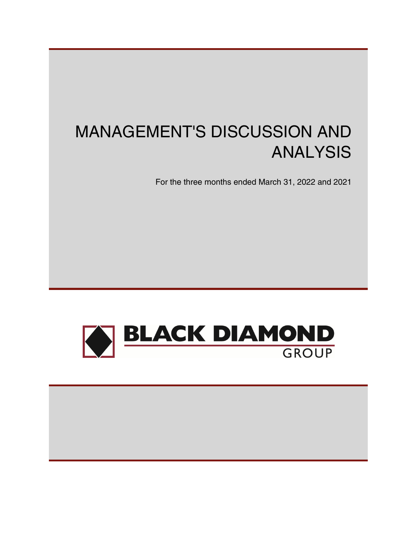# MANAGEMENT'S DISCUSSION AND ANALYSIS

For the three months ended March 31, 2022 and 2021



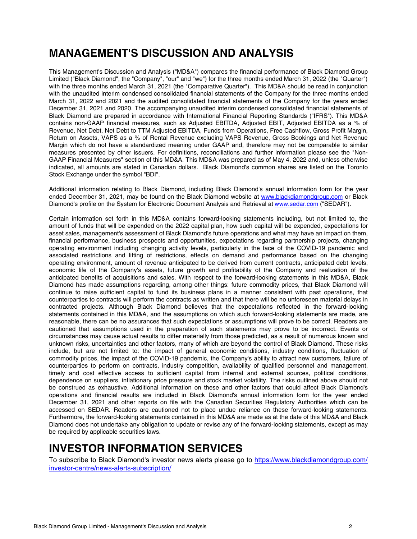## **MANAGEMENT'S DISCUSSION AND ANALYSIS**

This Management's Discussion and Analysis ("MD&A") compares the financial performance of Black Diamond Group Limited ("Black Diamond", the "Company", "our" and "we") for the three months ended March 31, 2022 (the "Quarter") with the three months ended March 31, 2021 (the "Comparative Quarter"). This MD&A should be read in conjunction with the unaudited interim condensed consolidated financial statements of the Company for the three months ended March 31, 2022 and 2021 and the audited consolidated financial statements of the Company for the years ended December 31, 2021 and 2020. The accompanying unaudited interim condensed consolidated financial statements of Black Diamond are prepared in accordance with International Financial Reporting Standards ("IFRS"). This MD&A contains non-GAAP financial measures, such as Adjusted EBITDA, Adjusted EBIT, Adjusted EBITDA as a % of Revenue, Net Debt, Net Debt to TTM Adjusted EBITDA, Funds from Operations, Free Cashflow, Gross Profit Margin, Return on Assets, VAPS as a % of Rental Revenue excluding VAPS Revenue, Gross Bookings and Net Revenue Margin which do not have a standardized meaning under GAAP and, therefore may not be comparable to similar measures presented by other issuers. For definitions, reconciliations and further information please see the "Non-GAAP Financial Measures" section of this MD&A. This MD&A was prepared as of May 4, 2022 and, unless otherwise indicated, all amounts are stated in Canadian dollars. Black Diamond's common shares are listed on the Toronto Stock Exchange under the symbol "BDI".

Additional information relating to Black Diamond, including Black Diamond's annual information form for the year ended December 31, 2021, may be found on the Black Diamond website at [www.blackdiamondgroup.com](http://www.blackdiamondgroup.com) or Black Diamond's profile on the System for Electronic Document Analysis and Retrieval at [www.sedar.com](http://www.sedar.com) ("SEDAR").

Certain information set forth in this MD&A contains forward-looking statements including, but not limited to, the amount of funds that will be expended on the 2022 capital plan, how such capital will be expended, expectations for asset sales, management's assessment of Black Diamond's future operations and what may have an impact on them, financial performance, business prospects and opportunities, expectations regarding partnership projects, changing operating environment including changing activity levels, particularly in the face of the COVID-19 pandemic and associated restrictions and lifting of restrictions, effects on demand and performance based on the changing operating environment, amount of revenue anticipated to be derived from current contracts, anticipated debt levels, economic life of the Company's assets, future growth and profitability of the Company and realization of the anticipated benefits of acquisitions and sales. With respect to the forward-looking statements in this MD&A, Black Diamond has made assumptions regarding, among other things: future commodity prices, that Black Diamond will continue to raise sufficient capital to fund its business plans in a manner consistent with past operations, that counterparties to contracts will perform the contracts as written and that there will be no unforeseen material delays in contracted projects. Although Black Diamond believes that the expectations reflected in the forward-looking statements contained in this MD&A, and the assumptions on which such forward-looking statements are made, are reasonable, there can be no assurances that such expectations or assumptions will prove to be correct. Readers are cautioned that assumptions used in the preparation of such statements may prove to be incorrect. Events or circumstances may cause actual results to differ materially from those predicted, as a result of numerous known and unknown risks, uncertainties and other factors, many of which are beyond the control of Black Diamond. These risks include, but are not limited to: the impact of general economic conditions, industry conditions, fluctuation of commodity prices, the impact of the COVID-19 pandemic, the Company's ability to attract new customers, failure of counterparties to perform on contracts, industry competition, availability of qualified personnel and management, timely and cost effective access to sufficient capital from internal and external sources, political conditions, dependence on suppliers, inflationary price pressure and stock market volatility. The risks outlined above should not be construed as exhaustive. Additional information on these and other factors that could affect Black Diamond's operations and financial results are included in Black Diamond's annual information form for the year ended December 31, 2021 and other reports on file with the Canadian Securities Regulatory Authorities which can be accessed on SEDAR. Readers are cautioned not to place undue reliance on these forward-looking statements. Furthermore, the forward-looking statements contained in this MD&A are made as at the date of this MD&A and Black Diamond does not undertake any obligation to update or revise any of the forward-looking statements, except as may be required by applicable securities laws.

## **INVESTOR INFORMATION SERVICES**

To subscribe to Black Diamond's investor news alerts please go to https://www.blackdiamondgroup.com/ investor-centre/news-alerts-subscription/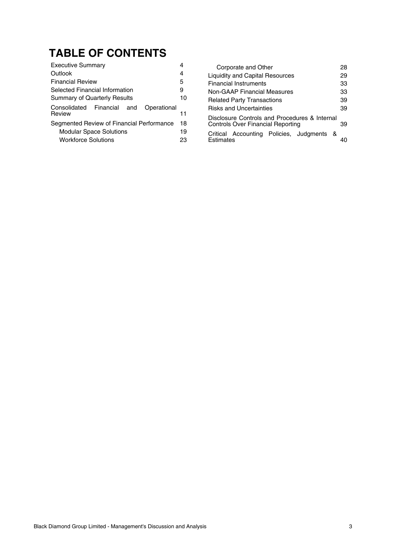## **TABLE OF CONTENTS**

| 4           | C      |
|-------------|--------|
| 4           | Liqui  |
| 5           | Finar  |
| 9           | Non-   |
| 10          | Rela   |
|             | Risk:  |
|             | Discl  |
| 18          | Cont   |
| 19          | Critic |
| 23          | Estin  |
| Operational | 11     |

| Corporate and Other                                                                | 28 |
|------------------------------------------------------------------------------------|----|
| <b>Liquidity and Capital Resources</b>                                             | 29 |
| <b>Financial Instruments</b>                                                       | 33 |
| <b>Non-GAAP Financial Measures</b>                                                 | 33 |
| <b>Related Party Transactions</b>                                                  | 39 |
| <b>Risks and Uncertainties</b>                                                     | 39 |
| Disclosure Controls and Procedures & Internal<br>Controls Over Financial Reporting | 39 |
| Critical Accounting Policies, Judgments<br>_&<br>Estimates                         |    |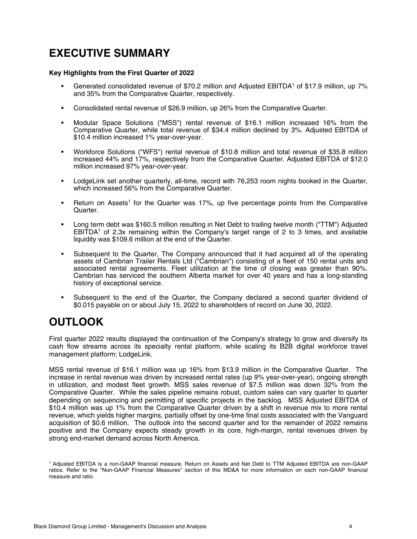## <span id="page-3-0"></span>**EXECUTIVE SUMMARY**

#### **Key Highlights from the First Quarter of 2022**

- Generated consolidated revenue of \$70.2 million and Adjusted EBITDA1 of \$17.9 million, up 7% and 35% from the Comparative Quarter, respectively.
- Consolidated rental revenue of \$26.9 million, up 26% from the Comparative Quarter.
- Modular Space Solutions ("MSS") rental revenue of \$16.1 million increased 16% from the Comparative Quarter, while total revenue of \$34.4 million declined by 3%. Adjusted EBITDA of \$10.4 million increased 1% year-over-year.
- Workforce Solutions ("WFS") rental revenue of \$10.8 million and total revenue of \$35.8 million increased 44% and 17%, respectively from the Comparative Quarter. Adjusted EBITDA of \$12.0 million increased 97% year-over-year.
- LodgeLink set another quarterly, all-time, record with 76,253 room nights booked in the Quarter, which increased 56% from the Comparative Quarter.
- Return on Assets<sup>1</sup> for the Quarter was 17%, up five percentage points from the Comparative Quarter.
- Long term debt was \$160.5 million resulting in Net Debt to trailing twelve month ("TTM") Adjusted EBITDA<sup>1</sup> of 2.3x remaining within the Company's target range of 2 to 3 times, and available liquidity was \$109.6 million at the end of the Quarter.
- Subsequent to the Quarter, The Company announced that it had acquired all of the operating assets of Cambrian Trailer Rentals Ltd ("Cambrian") consisting of a fleet of 150 rental units and associated rental agreements. Fleet utilization at the time of closing was greater than 90%. Cambrian has serviced the southern Alberta market for over 40 years and has a long-standing history of exceptional service.
- Subsequent to the end of the Quarter, the Company declared a second quarter dividend of \$0.015 payable on or about July 15, 2022 to shareholders of record on June 30, 2022.

## **OUTLOOK**

First quarter 2022 results displayed the continuation of the Company's strategy to grow and diversify its cash flow streams across its specialty rental platform, while scaling its B2B digital workforce travel management platform; LodgeLink.

MSS rental revenue of \$16.1 million was up 16% from \$13.9 million in the Comparative Quarter. The increase in rental revenue was driven by increased rental rates (up 9% year-over-year), ongoing strength in utilization, and modest fleet growth. MSS sales revenue of \$7.5 million was down 32% from the Comparative Quarter. While the sales pipeline remains robust, custom sales can vary quarter to quarter depending on sequencing and permitting of specific projects in the backlog. MSS Adjusted EBITDA of \$10.4 million was up 1% from the Comparative Quarter driven by a shift in revenue mix to more rental revenue, which yields higher margins, partially offset by one-time final costs associated with the Vanguard acquisition of \$0.6 million. The outlook into the second quarter and for the remainder of 2022 remains positive and the Company expects steady growth in its core, high-margin, rental revenues driven by strong end-market demand across North America.

<sup>1</sup>Adjusted EBITDA is a non-GAAP financial measure. Return on Assets and Net Debt to TTM Adjusted EBITDA are non-GAAP ratios. Refer to the "Non-GAAP Financial Measures" section of this MD&A for more information on each non-GAAP financial measure and ratio.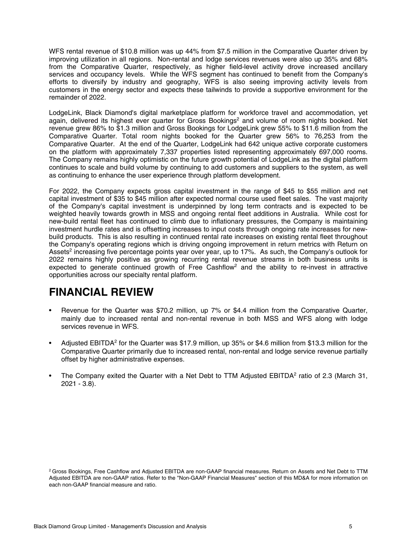WFS rental revenue of \$10.8 million was up 44% from \$7.5 million in the Comparative Quarter driven by improving utilization in all regions. Non-rental and lodge services revenues were also up 35% and 68% from the Comparative Quarter, respectively, as higher field-level activity drove increased ancillary services and occupancy levels. While the WFS segment has continued to benefit from the Company's efforts to diversify by industry and geography, WFS is also seeing improving activity levels from customers in the energy sector and expects these tailwinds to provide a supportive environment for the remainder of 2022.

LodgeLink, Black Diamond's digital marketplace platform for workforce travel and accommodation, yet again, delivered its highest ever quarter for Gross Bookings<sup>2</sup> and volume of room nights booked. Net revenue grew 86% to \$1.3 million and Gross Bookings for LodgeLink grew 55% to \$11.6 million from the Comparative Quarter. Total room nights booked for the Quarter grew 56% to 76,253 from the Comparative Quarter. At the end of the Quarter, LodgeLink had 642 unique active corporate customers on the platform with approximately 7,337 properties listed representing approximately 697,000 rooms. The Company remains highly optimistic on the future growth potential of LodgeLink as the digital platform continues to scale and build volume by continuing to add customers and suppliers to the system, as well as continuing to enhance the user experience through platform development.

For 2022, the Company expects gross capital investment in the range of \$45 to \$55 million and net capital investment of \$35 to \$45 million after expected normal course used fleet sales. The vast majority of the Company's capital investment is underpinned by long term contracts and is expected to be weighted heavily towards growth in MSS and ongoing rental fleet additions in Australia. While cost for new-build rental fleet has continued to climb due to inflationary pressures, the Company is maintaining investment hurdle rates and is offsetting increases to input costs through ongoing rate increases for newbuild products. This is also resulting in continued rental rate increases on existing rental fleet throughout the Company's operating regions which is driving ongoing improvement in return metrics with Return on Assets<sup>2</sup> increasing five percentage points year over year, up to 17%. As such, the Company's outlook for 2022 remains highly positive as growing recurring rental revenue streams in both business units is expected to generate continued growth of Free Cashflow<sup>2</sup> and the ability to re-invest in attractive opportunities across our specialty rental platform.

## **FINANCIAL REVIEW**

- Revenue for the Quarter was \$70.2 million, up 7% or \$4.4 million from the Comparative Quarter, mainly due to increased rental and non-rental revenue in both MSS and WFS along with lodge services revenue in WFS.
- Adjusted EBITDA<sup>2</sup> for the Quarter was \$17.9 million, up 35% or \$4.6 million from \$13.3 million for the Comparative Quarter primarily due to increased rental, non-rental and lodge service revenue partially offset by higher administrative expenses.
- The Company exited the Quarter with a Net Debt to TTM Adjusted EBITDA<sup>2</sup> ratio of 2.3 (March 31, 2021 - 3.8).

<sup>&</sup>lt;sup>2</sup> Gross Bookings, Free Cashflow and Adjusted EBITDA are non-GAAP financial measures. Return on Assets and Net Debt to TTM Adjusted EBITDA are non-GAAP ratios. Refer to the "Non-GAAP Financial Measures" section of this MD&A for more information on each non-GAAP financial measure and ratio.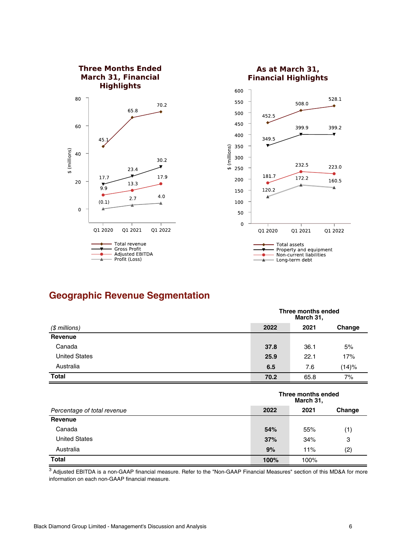

## **Geographic Revenue Segmentation**

| (\$ millions)        |      | Three months ended<br>March 31, |        |  |
|----------------------|------|---------------------------------|--------|--|
|                      | 2022 | 2021                            | Change |  |
| Revenue              |      |                                 |        |  |
| Canada               | 37.8 | 36.1                            | 5%     |  |
| <b>United States</b> | 25.9 | 22.1                            | 17%    |  |
| Australia            | 6.5  | 7.6                             | (14)%  |  |
| <b>Total</b>         | 70.2 | 65.8                            | 7%     |  |

|                             |      | Three months ended<br>March 31, |        |
|-----------------------------|------|---------------------------------|--------|
| Percentage of total revenue | 2022 | 2021                            | Change |
| Revenue                     |      |                                 |        |
| Canada                      | 54%  | 55%                             | (1)    |
| <b>United States</b>        | 37%  | 34%                             | 3      |
| Australia                   | 9%   | 11%                             | (2)    |
| <b>Total</b>                | 100% | 100%                            |        |

<sup>3</sup> Adjusted EBITDA is a non-GAAP financial measure. Refer to the "Non-GAAP Financial Measures" section of this MD&A for more information on each non-GAAP financial measure.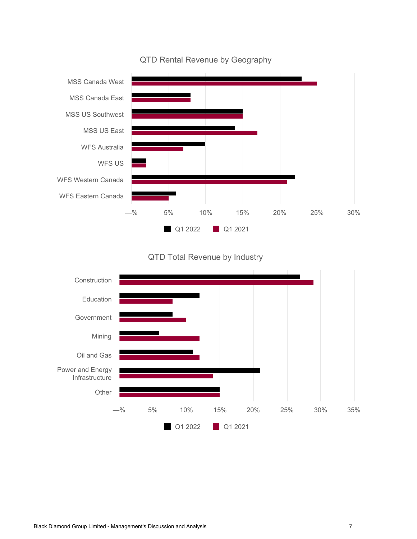

#### QTD Rental Revenue by Geography

#### QTD Total Revenue by Industry

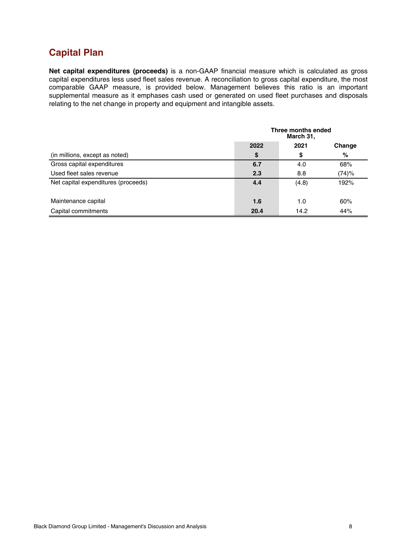## **Capital Plan**

**Net capital expenditures (proceeds)** is a non-GAAP financial measure which is calculated as gross capital expenditures less used fleet sales revenue. A reconciliation to gross capital expenditure, the most comparable GAAP measure, is provided below. Management believes this ratio is an important supplemental measure as it emphases cash used or generated on used fleet purchases and disposals relating to the net change in property and equipment and intangible assets.

|                                     | Three months ended<br>March 31, |       |        |
|-------------------------------------|---------------------------------|-------|--------|
|                                     | 2022                            | 2021  | Change |
| (in millions, except as noted)      | \$                              | S     | %      |
| Gross capital expenditures          | 6.7                             | 4.0   | 68%    |
| Used fleet sales revenue            | 2.3                             | 8.8   | (74)%  |
| Net capital expenditures (proceeds) | 4.4                             | (4.8) | 192%   |
| Maintenance capital                 | 1.6                             | 1.0   | 60%    |
| Capital commitments                 | 20.4                            | 14.2  | 44%    |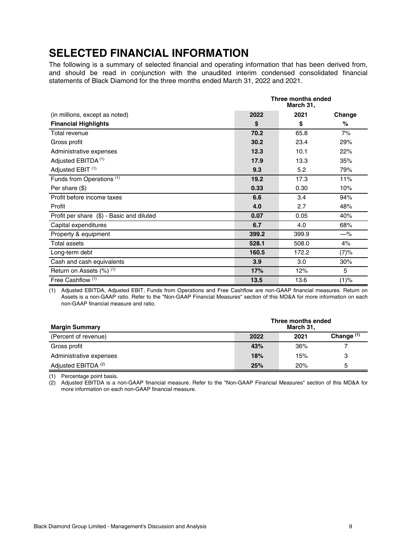## <span id="page-8-0"></span>**SELECTED FINANCIAL INFORMATION**

The following is a summary of selected financial and operating information that has been derived from, and should be read in conjunction with the unaudited interim condensed consolidated financial statements of Black Diamond for the three months ended March 31, 2022 and 2021.

|                                           |       | Three months ended<br>March 31, |       |
|-------------------------------------------|-------|---------------------------------|-------|
| (in millions, except as noted)            | 2022  | Change                          |       |
| <b>Financial Highlights</b>               | \$    | \$                              | %     |
| Total revenue                             | 70.2  | 65.8                            | 7%    |
| Gross profit                              | 30.2  | 23.4                            | 29%   |
| Administrative expenses                   | 12.3  | 10.1                            | 22%   |
| Adjusted EBITDA <sup>(1)</sup>            | 17.9  | 13.3                            | 35%   |
| Adjusted EBIT <sup>(1)</sup>              | 9.3   | 5.2                             | 79%   |
| Funds from Operations <sup>(1)</sup>      | 19.2  | 17.3                            | 11%   |
| Per share (\$)                            | 0.33  | 0.30                            | 10%   |
| Profit before income taxes                | 6.6   | 3.4                             | 94%   |
| Profit                                    | 4.0   | 2.7                             | 48%   |
| Profit per share (\$) - Basic and diluted | 0.07  | 0.05                            | 40%   |
| Capital expenditures                      | 6.7   | 4.0                             | 68%   |
| Property & equipment                      | 399.2 | 399.9                           | $-\%$ |
| <b>Total assets</b>                       | 528.1 | 508.0                           | 4%    |
| Long-term debt                            | 160.5 | 172.2                           | (7)%  |
| Cash and cash equivalents                 | 3.9   | 3.0                             | 30%   |
| Return on Assets $(\%)$ <sup>(1)</sup>    | 17%   | 12%                             | 5     |
| Free Cashflow <sup>(1)</sup>              | 13.5  | 13.6                            | (1)%  |

(1) Adjusted EBITDA, Adjusted EBIT, Funds from Operations and Free Cashflow are non-GAAP financial measures. Return on Assets is a non-GAAP ratio. Refer to the "Non-GAAP Financial Measures" section of this MD&A for more information on each non-GAAP financial measure and ratio.

| <b>Margin Summary</b>          | Three months ended<br>March 31, |     |   |
|--------------------------------|---------------------------------|-----|---|
| (Percent of revenue)           | Change $(1)$<br>2021<br>2022    |     |   |
| Gross profit                   | 43%                             | 36% |   |
| Administrative expenses        | 18%                             | 15% | 3 |
| Adjusted EBITDA <sup>(2)</sup> | 25%                             | 20% | 5 |

(1) Percentage point basis.

(2) Adjusted EBITDA is a non-GAAP financial measure. Refer to the "Non-GAAP Financial Measures" section of this MD&A for more information on each non-GAAP financial measure.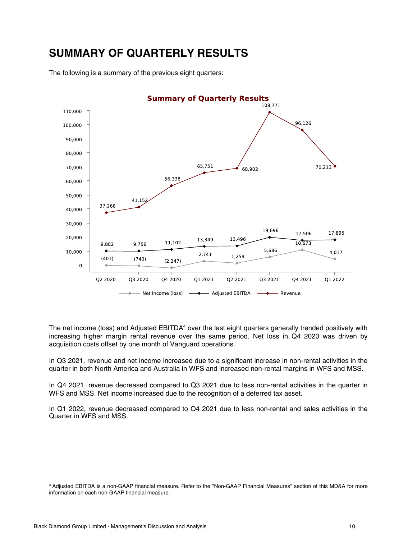## <span id="page-9-0"></span>**SUMMARY OF QUARTERLY RESULTS**

The following is a summary of the previous eight quarters:



The net income (loss) and Adjusted  $EBITDA<sup>4</sup>$  over the last eight quarters generally trended positively with increasing higher margin rental revenue over the same period. Net loss in Q4 2020 was driven by acquisition costs offset by one month of Vanguard operations.

In Q3 2021, revenue and net income increased due to a significant increase in non-rental activities in the quarter in both North America and Australia in WFS and increased non-rental margins in WFS and MSS.

In Q4 2021, revenue decreased compared to Q3 2021 due to less non-rental activities in the quarter in WFS and MSS. Net income increased due to the recognition of a deferred tax asset.

In Q1 2022, revenue decreased compared to Q4 2021 due to less non-rental and sales activities in the Quarter in WFS and MSS.

<sup>4</sup>Adjusted EBITDA is a non-GAAP financial measure. Refer to the "Non-GAAP Financial Measures" section of this MD&A for more information on each non-GAAP financial measure.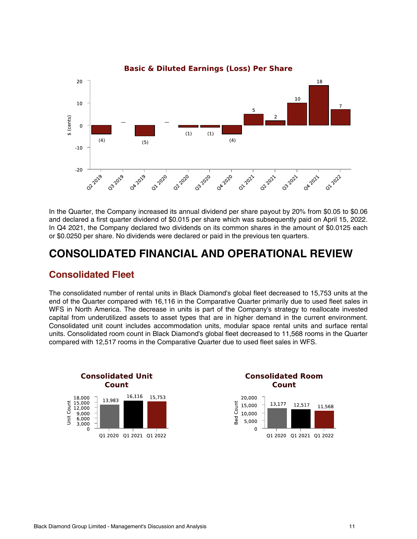<span id="page-10-0"></span>

In the Quarter, the Company increased its annual dividend per share payout by 20% from \$0.05 to \$0.06 and declared a first quarter dividend of \$0.015 per share which was subsequently paid on April 15, 2022. In Q4 2021, the Company declared two dividends on its common shares in the amount of \$0.0125 each or \$0.0250 per share. No dividends were declared or paid in the previous ten quarters.

## **CONSOLIDATED FINANCIAL AND OPERATIONAL REVIEW**

### **Consolidated Fleet**

The consolidated number of rental units in Black Diamond's global fleet decreased to 15,753 units at the end of the Quarter compared with 16,116 in the Comparative Quarter primarily due to used fleet sales in WFS in North America. The decrease in units is part of the Company's strategy to reallocate invested capital from underutilized assets to asset types that are in higher demand in the current environment. Consolidated unit count includes accommodation units, modular space rental units and surface rental units. Consolidated room count in Black Diamond's global fleet decreased to 11,568 rooms in the Quarter compared with 12,517 rooms in the Comparative Quarter due to used fleet sales in WFS.

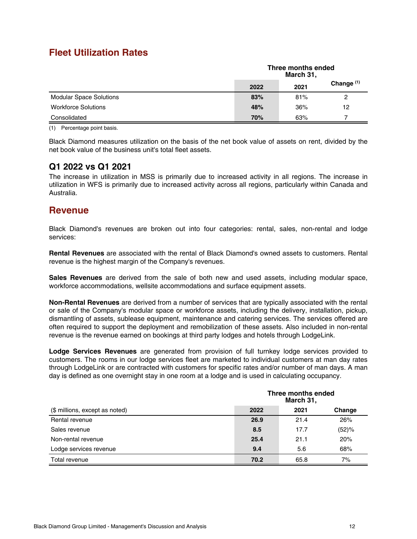### **Fleet Utilization Rates**

|                                | Three months ended<br>March 31, |      |              |
|--------------------------------|---------------------------------|------|--------------|
|                                | 2022                            | 2021 | Change $(1)$ |
| <b>Modular Space Solutions</b> | 83%                             | 81%  | 2            |
| <b>Workforce Solutions</b>     | 48%                             | 36%  | 12           |
| Consolidated                   | 70%                             | 63%  |              |

(1) Percentage point basis.

Black Diamond measures utilization on the basis of the net book value of assets on rent, divided by the net book value of the business unit's total fleet assets.

#### **Q1 2022 vs Q1 2021**

The increase in utilization in MSS is primarily due to increased activity in all regions. The increase in utilization in WFS is primarily due to increased activity across all regions, particularly within Canada and Australia.

### **Revenue**

Black Diamond's revenues are broken out into four categories: rental, sales, non-rental and lodge services:

**Rental Revenues** are associated with the rental of Black Diamond's owned assets to customers. Rental revenue is the highest margin of the Company's revenues.

**Sales Revenues** are derived from the sale of both new and used assets, including modular space, workforce accommodations, wellsite accommodations and surface equipment assets.

**Non-Rental Revenues** are derived from a number of services that are typically associated with the rental or sale of the Company's modular space or workforce assets, including the delivery, installation, pickup, dismantling of assets, sublease equipment, maintenance and catering services. The services offered are often required to support the deployment and remobilization of these assets. Also included in non-rental revenue is the revenue earned on bookings at third party lodges and hotels through LodgeLink.

**Lodge Services Revenues** are generated from provision of full turnkey lodge services provided to customers. The rooms in our lodge services fleet are marketed to individual customers at man day rates through LodgeLink or are contracted with customers for specific rates and/or number of man days. A man day is defined as one overnight stay in one room at a lodge and is used in calculating occupancy.

|                                | Three months ended<br>March 31, |      |       |
|--------------------------------|---------------------------------|------|-------|
| (\$ millions, except as noted) | 2022<br>2021<br>Change          |      |       |
| Rental revenue                 | 26.9                            | 21.4 | 26%   |
| Sales revenue                  | 8.5                             | 17.7 | (52)% |
| Non-rental revenue             | 25.4                            | 21.1 | 20%   |
| Lodge services revenue         | 9.4                             | 5.6  | 68%   |
| Total revenue                  | 70.2                            | 65.8 | 7%    |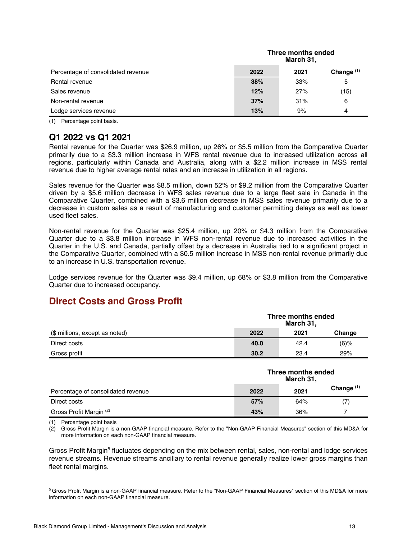|                                    | ппес попив спаса<br>March 31, |      |              |
|------------------------------------|-------------------------------|------|--------------|
| Percentage of consolidated revenue | 2022                          | 2021 | Change $(1)$ |
| Rental revenue                     | 38%                           | 33%  | 5            |
| Sales revenue                      | 12%                           | 27%  | (15)         |
| Non-rental revenue                 | 37%                           | 31%  | 6            |
| Lodge services revenue             | 13%                           | 9%   | 4            |

**Three months ended**

(1) Percentage point basis.

#### **Q1 2022 vs Q1 2021**

Rental revenue for the Quarter was \$26.9 million, up 26% or \$5.5 million from the Comparative Quarter primarily due to a \$3.3 million increase in WFS rental revenue due to increased utilization across all regions, particularly within Canada and Australia, along with a \$2.2 million increase in MSS rental revenue due to higher average rental rates and an increase in utilization in all regions.

Sales revenue for the Quarter was \$8.5 million, down 52% or \$9.2 million from the Comparative Quarter driven by a \$5.6 million decrease in WFS sales revenue due to a large fleet sale in Canada in the Comparative Quarter, combined with a \$3.6 million decrease in MSS sales revenue primarily due to a decrease in custom sales as a result of manufacturing and customer permitting delays as well as lower used fleet sales.

Non-rental revenue for the Quarter was \$25.4 million, up 20% or \$4.3 million from the Comparative Quarter due to a \$3.8 million increase in WFS non-rental revenue due to increased activities in the Quarter in the U.S. and Canada, partially offset by a decrease in Australia tied to a significant project in the Comparative Quarter, combined with a \$0.5 million increase in MSS non-rental revenue primarily due to an increase in U.S. transportation revenue.

Lodge services revenue for the Quarter was \$9.4 million, up 68% or \$3.8 million from the Comparative Quarter due to increased occupancy.

## **Direct Costs and Gross Profit**

|                                | Three months ended<br>March 31, |                |         |  |  |
|--------------------------------|---------------------------------|----------------|---------|--|--|
| (\$ millions, except as noted) | 2022                            | 2021<br>Change |         |  |  |
| Direct costs                   | 40.0                            | 42.4           | $(6)$ % |  |  |
| Gross profit                   | 30.2                            | 23.4           | 29%     |  |  |

|                                    | Three months ended<br>March 31, |      |              |
|------------------------------------|---------------------------------|------|--------------|
| Percentage of consolidated revenue | 2022                            | 2021 | Change $(1)$ |
| Direct costs                       | 57%                             | 64%  | (7)          |
| Gross Profit Margin (2)            | 43%                             | 36%  |              |

(1) Percentage point basis

(2) Gross Profit Margin is a non-GAAP financial measure. Refer to the "Non-GAAP Financial Measures" section of this MD&A for more information on each non-GAAP financial measure.

Gross Profit Margin<sup>5</sup> fluctuates depending on the mix between rental, sales, non-rental and lodge services revenue streams. Revenue streams ancillary to rental revenue generally realize lower gross margins than fleet rental margins.

<sup>5</sup>Gross Profit Margin is a non-GAAP financial measure. Refer to the "Non-GAAP Financial Measures" section of this MD&A for more information on each non-GAAP financial measure.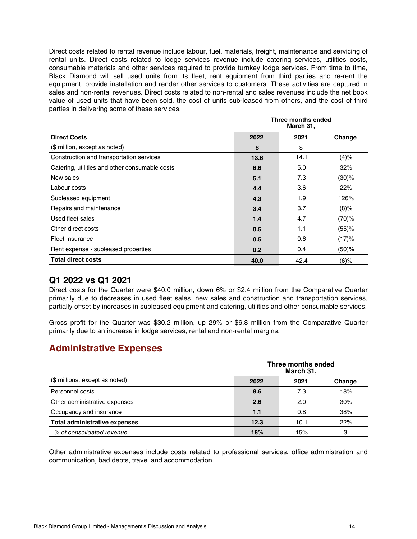Direct costs related to rental revenue include labour, fuel, materials, freight, maintenance and servicing of rental units. Direct costs related to lodge services revenue include catering services, utilities costs, consumable materials and other services required to provide turnkey lodge services. From time to time, Black Diamond will sell used units from its fleet, rent equipment from third parties and re-rent the equipment, provide installation and render other services to customers. These activities are captured in sales and non-rental revenues. Direct costs related to non-rental and sales revenues include the net book value of used units that have been sold, the cost of units sub-leased from others, and the cost of third parties in delivering some of these services.

|                                                | Three months ended<br>March 31, |      |          |
|------------------------------------------------|---------------------------------|------|----------|
| <b>Direct Costs</b>                            | 2022                            | 2021 | Change   |
| (\$ million, except as noted)                  | \$                              | \$   |          |
| Construction and transportation services       | 13.6                            | 14.1 | (4)%     |
| Catering, utilities and other consumable costs | 6.6                             | 5.0  | 32%      |
| New sales                                      | 5.1                             | 7.3  | (30)%    |
| Labour costs                                   | 4.4                             | 3.6  | 22%      |
| Subleased equipment                            | 4.3                             | 1.9  | 126%     |
| Repairs and maintenance                        | 3.4                             | 3.7  | $(8)\%$  |
| Used fleet sales                               | 1.4                             | 4.7  | $(70)$ % |
| Other direct costs                             | 0.5                             | 1.1  | (55)%    |
| Fleet Insurance                                | 0.5                             | 0.6  | (17)%    |
| Rent expense - subleased properties            | 0.2                             | 0.4  | (50)%    |
| <b>Total direct costs</b>                      | 40.0                            | 42.4 | $(6)$ %  |

#### **Q1 2022 vs Q1 2021**

Direct costs for the Quarter were \$40.0 million, down 6% or \$2.4 million from the Comparative Quarter primarily due to decreases in used fleet sales, new sales and construction and transportation services, partially offset by increases in subleased equipment and catering, utilities and other consumable services.

Gross profit for the Quarter was \$30.2 million, up 29% or \$6.8 million from the Comparative Quarter primarily due to an increase in lodge services, rental and non-rental margins.

## **Administrative Expenses**

|                                      |      | Three months ended<br>March 31, |        |  |  |
|--------------------------------------|------|---------------------------------|--------|--|--|
| (\$ millions, except as noted)       | 2022 | 2021                            | Change |  |  |
| Personnel costs                      | 8.6  | 7.3                             | 18%    |  |  |
| Other administrative expenses        | 2.6  | 2.0                             | 30%    |  |  |
| Occupancy and insurance              | 1.1  | 0.8                             | 38%    |  |  |
| <b>Total administrative expenses</b> | 12.3 | 10.1                            | 22%    |  |  |
| % of consolidated revenue            | 18%  | 15%                             | 3      |  |  |

Other administrative expenses include costs related to professional services, office administration and communication, bad debts, travel and accommodation.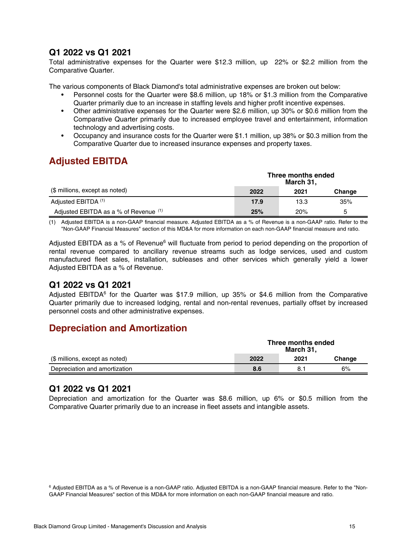### **Q1 2022 vs Q1 2021**

Total administrative expenses for the Quarter were \$12.3 million, up 22% or \$2.2 million from the Comparative Quarter.

The various components of Black Diamond's total administrative expenses are broken out below:

- Personnel costs for the Quarter were \$8.6 million, up 18% or \$1.3 million from the Comparative Quarter primarily due to an increase in staffing levels and higher profit incentive expenses.
- Other administrative expenses for the Quarter were \$2.6 million, up 30% or \$0.6 million from the Comparative Quarter primarily due to increased employee travel and entertainment, information technology and advertising costs.
- Occupancy and insurance costs for the Quarter were \$1.1 million, up 38% or \$0.3 million from the Comparative Quarter due to increased insurance expenses and property taxes.

## **Adjusted EBITDA**

|                                         | Three months ended<br>March 31, |      |        |
|-----------------------------------------|---------------------------------|------|--------|
| (\$ millions, except as noted)          | 2022                            | 2021 | Change |
| Adjusted EBITDA <sup>(1)</sup>          | 17.9                            | 13.3 | 35%    |
| Adjusted EBITDA as a % of Revenue $(1)$ | 25%                             | 20%  | 5      |

(1) Adjusted EBITDA is a non-GAAP financial measure. Adjusted EBITDA as a % of Revenue is a non-GAAP ratio. Refer to the "Non-GAAP Financial Measures" section of this MD&A for more information on each non-GAAP financial measure and ratio.

Adjusted EBITDA as a % of Revenue<sup>6</sup> will fluctuate from period to period depending on the proportion of rental revenue compared to ancillary revenue streams such as lodge services, used and custom manufactured fleet sales, installation, subleases and other services which generally yield a lower Adjusted EBITDA as a % of Revenue.

#### **Q1 2022 vs Q1 2021**

Adjusted EBITDA<sup>6</sup> for the Quarter was \$17.9 million, up 35% or \$4.6 million from the Comparative Quarter primarily due to increased lodging, rental and non-rental revenues, partially offset by increased personnel costs and other administrative expenses.

### **Depreciation and Amortization**

|                                | Three months ended<br>March 31. |      |        |
|--------------------------------|---------------------------------|------|--------|
| (\$ millions, except as noted) | 2022                            | 2021 | Change |
| Depreciation and amortization  | 8.6                             |      | 6%     |

#### **Q1 2022 vs Q1 2021**

Depreciation and amortization for the Quarter was \$8.6 million, up 6% or \$0.5 million from the Comparative Quarter primarily due to an increase in fleet assets and intangible assets.

 $^6$  Adjusted EBITDA as a % of Revenue is a non-GAAP ratio. Adjusted EBITDA is a non-GAAP financial measure. Refer to the "Non-GAAP Financial Measures" section of this MD&A for more information on each non-GAAP financial measure and ratio.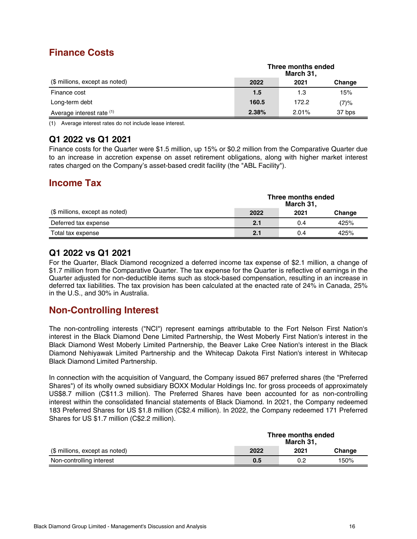## **Finance Costs**

|                                | Three months ended<br>March 31, |          |        |
|--------------------------------|---------------------------------|----------|--------|
| (\$ millions, except as noted) | 2022                            | 2021     | Change |
| Finance cost                   | 1.5                             | 1.3      | 15%    |
| Long-term debt                 | 160.5                           | 172.2    | (7)%   |
| Average interest rate (1)      | 2.38%                           | $2.01\%$ | 37 bps |

(1) Average interest rates do not include lease interest.

### **Q1 2022 vs Q1 2021**

Finance costs for the Quarter were \$1.5 million, up 15% or \$0.2 million from the Comparative Quarter due to an increase in accretion expense on asset retirement obligations, along with higher market interest rates charged on the Company's asset-based credit facility (the "ABL Facility").

## **Income Tax**

|                                | Three months ended<br>March 31, |      |        |
|--------------------------------|---------------------------------|------|--------|
| (\$ millions, except as noted) | 2022                            | 2021 | Change |
| Deferred tax expense           | 2.1                             | 0.4  | 425%   |
| Total tax expense              | 2.1                             | 0.4  | 425%   |

#### **Q1 2022 vs Q1 2021**

For the Quarter, Black Diamond recognized a deferred income tax expense of \$2.1 million, a change of \$1.7 million from the Comparative Quarter. The tax expense for the Quarter is reflective of earnings in the Quarter adjusted for non-deductible items such as stock-based compensation, resulting in an increase in deferred tax liabilities. The tax provision has been calculated at the enacted rate of 24% in Canada, 25% in the U.S., and 30% in Australia.

## **Non-Controlling Interest**

The non-controlling interests ("NCI") represent earnings attributable to the Fort Nelson First Nation's interest in the Black Diamond Dene Limited Partnership, the West Moberly First Nation's interest in the Black Diamond West Moberly Limited Partnership, the Beaver Lake Cree Nation's interest in the Black Diamond Nehiyawak Limited Partnership and the Whitecap Dakota First Nation's interest in Whitecap Black Diamond Limited Partnership.

In connection with the acquisition of Vanguard, the Company issued 867 preferred shares (the "Preferred Shares") of its wholly owned subsidiary BOXX Modular Holdings Inc. for gross proceeds of approximately US\$8.7 million (C\$11.3 million). The Preferred Shares have been accounted for as non-controlling interest within the consolidated financial statements of Black Diamond. In 2021, the Company redeemed 183 Preferred Shares for US \$1.8 million (C\$2.4 million). In 2022, the Company redeemed 171 Preferred Shares for US \$1.7 million (C\$2.2 million).

|                                | Three months ended<br>March 31. |      |        |
|--------------------------------|---------------------------------|------|--------|
| (\$ millions, except as noted) | 2022                            | 2021 | Change |
| Non-controlling interest       | 0.5                             | 0.2  | 150%   |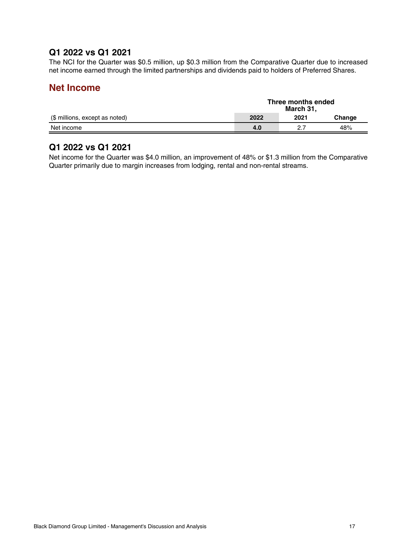### **Q1 2022 vs Q1 2021**

The NCI for the Quarter was \$0.5 million, up \$0.3 million from the Comparative Quarter due to increased net income earned through the limited partnerships and dividends paid to holders of Preferred Shares.

#### **Net Income**

|                                | Three months ended<br>March 31, |      |        |
|--------------------------------|---------------------------------|------|--------|
| (\$ millions, except as noted) | 2022                            | 2021 | Change |
| Net income                     | 4.0                             | - 27 | 48%    |

#### **Q1 2022 vs Q1 2021**

Net income for the Quarter was \$4.0 million, an improvement of 48% or \$1.3 million from the Comparative Quarter primarily due to margin increases from lodging, rental and non-rental streams.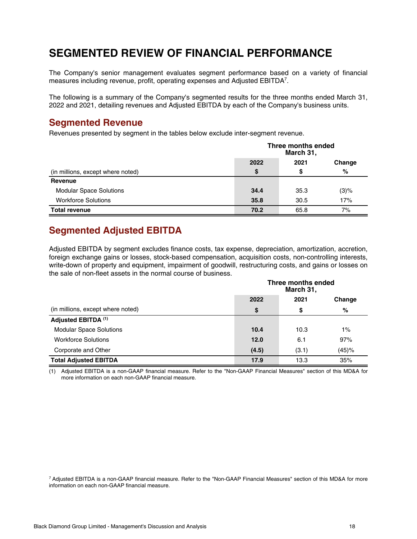## <span id="page-17-0"></span>**SEGMENTED REVIEW OF FINANCIAL PERFORMANCE**

The Company's senior management evaluates segment performance based on a variety of financial measures including revenue, profit, operating expenses and Adjusted EBITDA<sup>7</sup> .

The following is a summary of the Company's segmented results for the three months ended March 31, 2022 and 2021, detailing revenues and Adjusted EBITDA by each of the Company's business units.

#### **Segmented Revenue**

Revenues presented by segment in the tables below exclude inter-segment revenue.

|                                   | Three months ended<br>March 31, |      |         |
|-----------------------------------|---------------------------------|------|---------|
|                                   | 2022                            | 2021 | Change  |
| (in millions, except where noted) | \$                              | S    | %       |
| Revenue                           |                                 |      |         |
| <b>Modular Space Solutions</b>    | 34.4                            | 35.3 | $(3)$ % |
| <b>Workforce Solutions</b>        | 35.8                            | 30.5 | 17%     |
| <b>Total revenue</b>              | 70.2                            | 65.8 | 7%      |

## **Segmented Adjusted EBITDA**

Adjusted EBITDA by segment excludes finance costs, tax expense, depreciation, amortization, accretion, foreign exchange gains or losses, stock-based compensation, acquisition costs, non-controlling interests, write-down of property and equipment, impairment of goodwill, restructuring costs, and gains or losses on the sale of non-fleet assets in the normal course of business.

|                                   |       | Three months ended<br>March 31, |        |  |  |
|-----------------------------------|-------|---------------------------------|--------|--|--|
|                                   | 2022  | 2021                            | Change |  |  |
| (in millions, except where noted) | \$    | \$                              | %      |  |  |
| Adjusted EBITDA <sup>(1)</sup>    |       |                                 |        |  |  |
| <b>Modular Space Solutions</b>    | 10.4  | 10.3                            | $1\%$  |  |  |
| <b>Workforce Solutions</b>        | 12.0  | 6.1                             | 97%    |  |  |
| Corporate and Other               | (4.5) | (3.1)                           | (45)%  |  |  |
| <b>Total Adjusted EBITDA</b>      | 17.9  | 13.3                            | 35%    |  |  |

(1) Adjusted EBITDA is a non-GAAP financial measure. Refer to the "Non-GAAP Financial Measures" section of this MD&A for more information on each non-GAAP financial measure.

<sup>7</sup>Adjusted EBITDA is a non-GAAP financial measure. Refer to the "Non-GAAP Financial Measures" section of this MD&A for more information on each non-GAAP financial measure.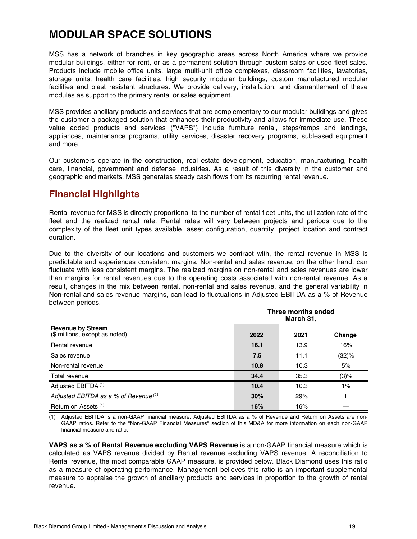## <span id="page-18-0"></span>**MODULAR SPACE SOLUTIONS**

MSS has a network of branches in key geographic areas across North America where we provide modular buildings, either for rent, or as a permanent solution through custom sales or used fleet sales. Products include mobile office units, large multi-unit office complexes, classroom facilities, lavatories, storage units, health care facilities, high security modular buildings, custom manufactured modular facilities and blast resistant structures. We provide delivery, installation, and dismantlement of these modules as support to the primary rental or sales equipment.

MSS provides ancillary products and services that are complementary to our modular buildings and gives the customer a packaged solution that enhances their productivity and allows for immediate use. These value added products and services ("VAPS") include furniture rental, steps/ramps and landings, appliances, maintenance programs, utility services, disaster recovery programs, subleased equipment and more.

Our customers operate in the construction, real estate development, education, manufacturing, health care, financial, government and defense industries. As a result of this diversity in the customer and geographic end markets, MSS generates steady cash flows from its recurring rental revenue.

## **Financial Highlights**

Rental revenue for MSS is directly proportional to the number of rental fleet units, the utilization rate of the fleet and the realized rental rate. Rental rates will vary between projects and periods due to the complexity of the fleet unit types available, asset configuration, quantity, project location and contract duration.

Due to the diversity of our locations and customers we contract with, the rental revenue in MSS is predictable and experiences consistent margins. Non-rental and sales revenue, on the other hand, can fluctuate with less consistent margins. The realized margins on non-rental and sales revenues are lower than margins for rental revenues due to the operating costs associated with non-rental revenue. As a result, changes in the mix between rental, non-rental and sales revenue, and the general variability in Non-rental and sales revenue margins, can lead to fluctuations in Adjusted EBITDA as a % of Revenue between periods.

|                                                            |      | Three months ended<br>March 31, |        |  |
|------------------------------------------------------------|------|---------------------------------|--------|--|
| <b>Revenue by Stream</b><br>(\$ millions, except as noted) | 2022 | 2021                            | Change |  |
| Rental revenue                                             | 16.1 | 13.9                            | 16%    |  |
| Sales revenue                                              | 7.5  | 11.1                            | (32)%  |  |
| Non-rental revenue                                         | 10.8 | 10.3                            | 5%     |  |
| Total revenue                                              | 34.4 | 35.3                            | (3)%   |  |
| Adjusted EBITDA <sup>(1)</sup>                             | 10.4 | 10.3                            | 1%     |  |
| Adjusted EBITDA as a % of Revenue (1)                      | 30%  | 29%                             |        |  |
| Return on Assets (1)                                       | 16%  | 16%                             |        |  |

(1) Adjusted EBITDA is a non-GAAP financial measure. Adjusted EBITDA as a % of Revenue and Return on Assets are non-GAAP ratios. Refer to the "Non-GAAP Financial Measures" section of this MD&A for more information on each non-GAAP financial measure and ratio.

**VAPS as a % of Rental Revenue excluding VAPS Revenue** is a non-GAAP financial measure which is calculated as VAPS revenue divided by Rental revenue excluding VAPS revenue. A reconciliation to Rental revenue, the most comparable GAAP measure, is provided below. Black Diamond uses this ratio as a measure of operating performance. Management believes this ratio is an important supplemental measure to appraise the growth of ancillary products and services in proportion to the growth of rental revenue.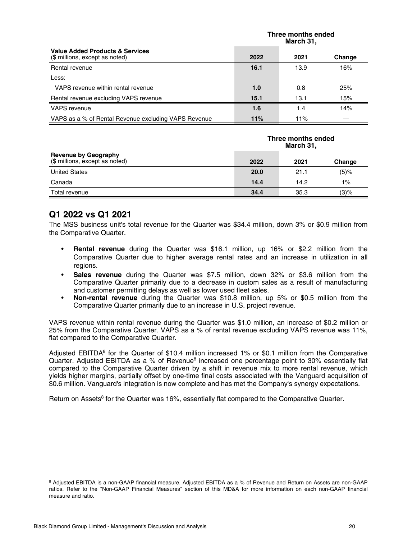|                                                                              | Three months ended<br>March 31, |      |        |
|------------------------------------------------------------------------------|---------------------------------|------|--------|
| <b>Value Added Products &amp; Services</b><br>(\$ millions, except as noted) | 2022                            | 2021 | Change |
| Rental revenue                                                               | 16.1                            | 13.9 | 16%    |
| Less:                                                                        |                                 |      |        |
| VAPS revenue within rental revenue                                           | 1.0                             | 0.8  | 25%    |
| Rental revenue excluding VAPS revenue                                        | 15.1                            | 13.1 | 15%    |
| VAPS revenue                                                                 | 1.6                             | 1.4  | 14%    |
| VAPS as a % of Rental Revenue excluding VAPS Revenue                         | 11%                             | 11%  |        |

|                                                               | Three months ended<br>March 31, |      |        |
|---------------------------------------------------------------|---------------------------------|------|--------|
| <b>Revenue by Geography</b><br>(\$ millions, except as noted) | 2022                            | 2021 | Change |
| <b>United States</b>                                          | 20.0                            | 21.1 | (5)%   |
| Canada                                                        | 14.4                            | 14.2 | $1\%$  |
| Total revenue                                                 | 34.4                            | 35.3 | (3)%   |

#### **Q1 2022 vs Q1 2021**

The MSS business unit's total revenue for the Quarter was \$34.4 million, down 3% or \$0.9 million from the Comparative Quarter.

- **Rental revenue** during the Quarter was \$16.1 million, up 16% or \$2.2 million from the Comparative Quarter due to higher average rental rates and an increase in utilization in all regions.
- **Sales revenue** during the Quarter was \$7.5 million, down 32% or \$3.6 million from the Comparative Quarter primarily due to a decrease in custom sales as a result of manufacturing and customer permitting delays as well as lower used fleet sales.
- **Non-rental revenue** during the Quarter was \$10.8 million, up 5% or \$0.5 million from the Comparative Quarter primarily due to an increase in U.S. project revenue.

VAPS revenue within rental revenue during the Quarter was \$1.0 million, an increase of \$0.2 million or 25% from the Comparative Quarter. VAPS as a % of rental revenue excluding VAPS revenue was 11%, flat compared to the Comparative Quarter.

Adjusted EBITDA<sup>8</sup> for the Quarter of \$10.4 million increased 1% or \$0.1 million from the Comparative Quarter. Adjusted EBITDA as a % of Revenue<sup>8</sup> increased one percentage point to 30% essentially flat compared to the Comparative Quarter driven by a shift in revenue mix to more rental revenue, which yields higher margins, partially offset by one-time final costs associated with the Vanguard acquisition of \$0.6 million. Vanguard's integration is now complete and has met the Company's synergy expectations.

Return on Assets<sup>8</sup> for the Quarter was 16%, essentially flat compared to the Comparative Quarter.

<sup>8</sup> Adjusted EBITDA is a non-GAAP financial measure. Adjusted EBITDA as a % of Revenue and Return on Assets are non-GAAP ratios. Refer to the "Non-GAAP Financial Measures" section of this MD&A for more information on each non-GAAP financial measure and ratio.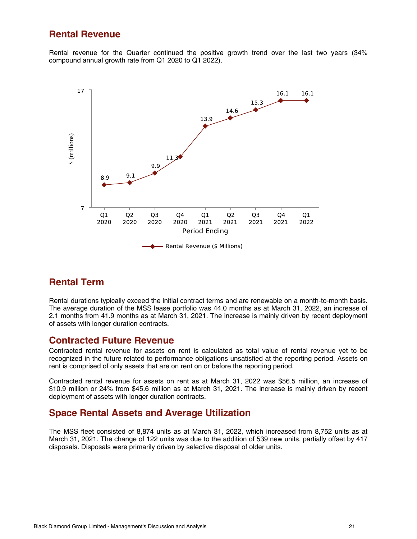#### **Rental Revenue**

Rental revenue for the Quarter continued the positive growth trend over the last two years (34% compound annual growth rate from Q1 2020 to Q1 2022).



### **Rental Term**

Rental durations typically exceed the initial contract terms and are renewable on a month-to-month basis. The average duration of the MSS lease portfolio was 44.0 months as at March 31, 2022, an increase of 2.1 months from 41.9 months as at March 31, 2021. The increase is mainly driven by recent deployment of assets with longer duration contracts.

#### **Contracted Future Revenue**

Contracted rental revenue for assets on rent is calculated as total value of rental revenue yet to be recognized in the future related to performance obligations unsatisfied at the reporting period. Assets on rent is comprised of only assets that are on rent on or before the reporting period.

Contracted rental revenue for assets on rent as at March 31, 2022 was \$56.5 million, an increase of \$10.9 million or 24% from \$45.6 million as at March 31, 2021. The increase is mainly driven by recent deployment of assets with longer duration contracts.

### **Space Rental Assets and Average Utilization**

The MSS fleet consisted of 8,874 units as at March 31, 2022, which increased from 8,752 units as at March 31, 2021. The change of 122 units was due to the addition of 539 new units, partially offset by 417 disposals. Disposals were primarily driven by selective disposal of older units.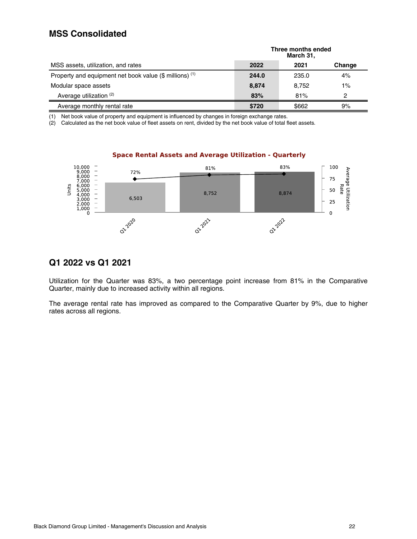### **MSS Consolidated**

|                                                         | Three months ended<br>March 31, |       |        |
|---------------------------------------------------------|---------------------------------|-------|--------|
| MSS assets, utilization, and rates                      | 2022                            | 2021  | Change |
| Property and equipment net book value (\$ millions) (1) | 244.0                           | 235.0 | 4%     |
| Modular space assets                                    | 8,874                           | 8.752 | $1\%$  |
| Average utilization (2)                                 | 83%                             | 81%   | 2      |
| Average monthly rental rate                             | \$720                           | \$662 | 9%     |

(1) Net book value of property and equipment is influenced by changes in foreign exchange rates.

(2) Calculated as the net book value of fleet assets on rent, divided by the net book value of total fleet assets.



#### **Space Rental Assets and Average Utilization - Quarterly**

#### **Q1 2022 vs Q1 2021**

Utilization for the Quarter was 83%, a two percentage point increase from 81% in the Comparative Quarter, mainly due to increased activity within all regions.

The average rental rate has improved as compared to the Comparative Quarter by 9%, due to higher rates across all regions.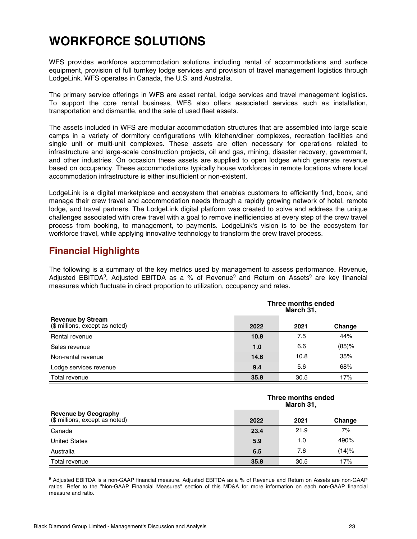## <span id="page-22-0"></span>**WORKFORCE SOLUTIONS**

WFS provides workforce accommodation solutions including rental of accommodations and surface equipment, provision of full turnkey lodge services and provision of travel management logistics through LodgeLink. WFS operates in Canada, the U.S. and Australia.

The primary service offerings in WFS are asset rental, lodge services and travel management logistics. To support the core rental business, WFS also offers associated services such as installation, transportation and dismantle, and the sale of used fleet assets.

The assets included in WFS are modular accommodation structures that are assembled into large scale camps in a variety of dormitory configurations with kitchen/diner complexes, recreation facilities and single unit or multi-unit complexes. These assets are often necessary for operations related to infrastructure and large-scale construction projects, oil and gas, mining, disaster recovery, government, and other industries. On occasion these assets are supplied to open lodges which generate revenue based on occupancy. These accommodations typically house workforces in remote locations where local accommodation infrastructure is either insufficient or non-existent.

LodgeLink is a digital marketplace and ecosystem that enables customers to efficiently find, book, and manage their crew travel and accommodation needs through a rapidly growing network of hotel, remote lodge, and travel partners. The LodgeLink digital platform was created to solve and address the unique challenges associated with crew travel with a goal to remove inefficiencies at every step of the crew travel process from booking, to management, to payments. LodgeLink's vision is to be the ecosystem for workforce travel, while applying innovative technology to transform the crew travel process.

### **Financial Highlights**

The following is a summary of the key metrics used by management to assess performance. Revenue, Adjusted EBITDA<sup>9</sup>, Adjusted EBITDA as a % of Revenue<sup>9</sup> and Return on Assets<sup>9</sup> are key financial measures which fluctuate in direct proportion to utilization, occupancy and rates.

|                                                            |      | Three months ended<br>March 31, |        |  |  |
|------------------------------------------------------------|------|---------------------------------|--------|--|--|
| <b>Revenue by Stream</b><br>(\$ millions, except as noted) | 2022 | 2021                            | Change |  |  |
| Rental revenue                                             | 10.8 | 7.5                             | 44%    |  |  |
| Sales revenue                                              | 1.0  | 6.6                             | (85)%  |  |  |
| Non-rental revenue                                         | 14.6 | 10.8                            | 35%    |  |  |
| Lodge services revenue                                     | 9.4  | 5.6                             | 68%    |  |  |
| Total revenue                                              | 35.8 | 30.5                            | 17%    |  |  |

|                                                               | Three months ended<br>March 31, |      |        |
|---------------------------------------------------------------|---------------------------------|------|--------|
| <b>Revenue by Geography</b><br>(\$ millions, except as noted) | 2022                            | 2021 | Change |
| Canada                                                        | 23.4                            | 21.9 | 7%     |
| <b>United States</b>                                          | 5.9                             | 1.0  | 490%   |
| Australia                                                     | 6.5                             | 7.6  | (14)%  |
| Total revenue                                                 | 35.8                            | 30.5 | 17%    |

9 Adjusted EBITDA is a non-GAAP financial measure. Adjusted EBITDA as a % of Revenue and Return on Assets are non-GAAP ratios. Refer to the "Non-GAAP Financial Measures" section of this MD&A for more information on each non-GAAP financial measure and ratio.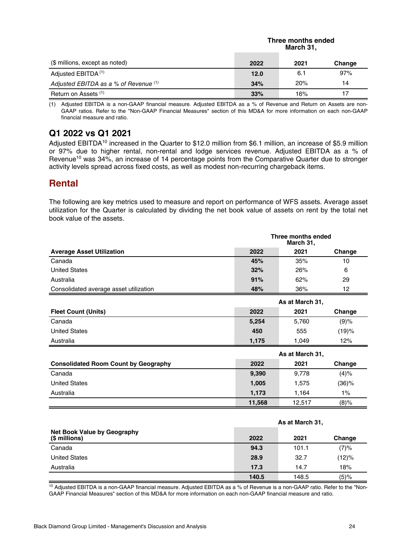| (\$ millions, except as noted)        | March 31, |      |        |
|---------------------------------------|-----------|------|--------|
|                                       | 2022      | 2021 | Change |
| Adjusted EBITDA <sup>(1)</sup>        | 12.0      | 6.1  | 97%    |
| Adjusted EBITDA as a % of Revenue (1) | 34%       | 20%  | 14     |
| Return on Assets (1)                  | 33%       | 16%  |        |

**Three months ended**

(1) Adjusted EBITDA is a non-GAAP financial measure. Adjusted EBITDA as a % of Revenue and Return on Assets are non-GAAP ratios. Refer to the "Non-GAAP Financial Measures" section of this MD&A for more information on each non-GAAP financial measure and ratio.

### **Q1 2022 vs Q1 2021**

Adjusted EBITDA<sup>10</sup> increased in the Quarter to \$12.0 million from \$6.1 million, an increase of \$5.9 million or 97% due to higher rental, non-rental and lodge services revenue. Adjusted EBITDA as a % of Revenue<sup>10</sup> was 34%, an increase of 14 percentage points from the Comparative Quarter due to stronger activity levels spread across fixed costs, as well as modest non-recurring chargeback items.

### **Rental**

The following are key metrics used to measure and report on performance of WFS assets. Average asset utilization for the Quarter is calculated by dividing the net book value of assets on rent by the total net book value of the assets.

|                                                     | Three months ended<br>March 31, |                 |          |
|-----------------------------------------------------|---------------------------------|-----------------|----------|
| <b>Average Asset Utilization</b>                    | 2022                            | 2021            | Change   |
| Canada                                              | 45%                             | 35%             | 10       |
| <b>United States</b>                                | 32%                             | 26%             | 6        |
| Australia                                           | 91%                             | 62%             | 29       |
| Consolidated average asset utilization              | 48%                             | 36%             | 12       |
|                                                     |                                 | As at March 31, |          |
| <b>Fleet Count (Units)</b>                          | 2022                            | 2021            | Change   |
| Canada                                              | 5,254                           | 5,760           | (9)%     |
| <b>United States</b>                                | 450                             | 555             | (19)%    |
| Australia                                           | 1,175                           | 1,049           | 12%      |
|                                                     |                                 | As at March 31, |          |
| <b>Consolidated Room Count by Geography</b>         | 2022                            | 2021            | Change   |
| Canada                                              | 9,390                           | 9,778           | $(4)\%$  |
| <b>United States</b>                                | 1,005                           | 1,575           | $(36)$ % |
| Australia                                           | 1,173                           | 1,164           | $1\%$    |
|                                                     | 11,568                          | 12,517          | (8)%     |
|                                                     |                                 |                 |          |
|                                                     |                                 | As at March 31, |          |
| <b>Net Book Value by Geography</b><br>(\$ millions) | 2022                            | 2021            | Change   |

| (\$ millions)        | 2022  | 2021  | Change  |
|----------------------|-------|-------|---------|
| Canada               | 94.3  | 101.1 | (7)%    |
| <b>United States</b> | 28.9  | 32.7  | (12)%   |
| Australia            | 17.3  | 14.7  | 18%     |
|                      | 140.5 | 148.5 | $(5)$ % |

<sup>10</sup> Adjusted EBITDA is a non-GAAP financial measure. Adjusted EBITDA as a % of Revenue is a non-GAAP ratio. Refer to the "Non-GAAP Financial Measures" section of this MD&A for more information on each non-GAAP financial measure and ratio.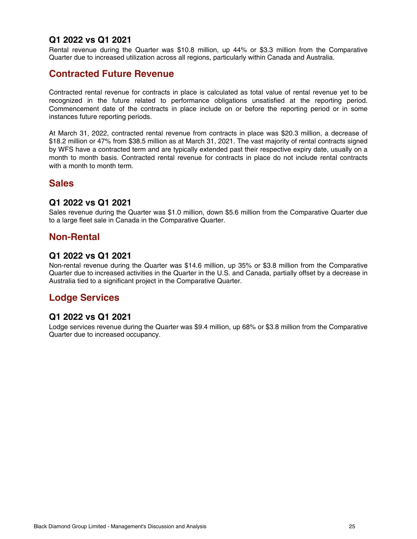#### **Q1 2022 vs Q1 2021**

Rental revenue during the Quarter was \$10.8 million, up 44% or \$3.3 million from the Comparative Quarter due to increased utilization across all regions, particularly within Canada and Australia.

### **Contracted Future Revenue**

Contracted rental revenue for contracts in place is calculated as total value of rental revenue yet to be recognized in the future related to performance obligations unsatisfied at the reporting period. Commencement date of the contracts in place include on or before the reporting period or in some instances future reporting periods.

At March 31, 2022, contracted rental revenue from contracts in place was \$20.3 million, a decrease of \$18.2 million or 47% from \$38.5 million as at March 31, 2021. The vast majority of rental contracts signed by WFS have a contracted term and are typically extended past their respective expiry date, usually on a month to month basis. Contracted rental revenue for contracts in place do not include rental contracts with a month to month term.

### **Sales**

#### **Q1 2022 vs Q1 2021**

Sales revenue during the Quarter was \$1.0 million, down \$5.6 million from the Comparative Quarter due to a large fleet sale in Canada in the Comparative Quarter.

#### **Non-Rental**

#### **Q1 2022 vs Q1 2021**

Non-rental revenue during the Quarter was \$14.6 million, up 35% or \$3.8 million from the Comparative Quarter due to increased activities in the Quarter in the U.S. and Canada, partially offset by a decrease in Australia tied to a significant project in the Comparative Quarter.

### **Lodge Services**

#### **Q1 2022 vs Q1 2021**

Lodge services revenue during the Quarter was \$9.4 million, up 68% or \$3.8 million from the Comparative Quarter due to increased occupancy.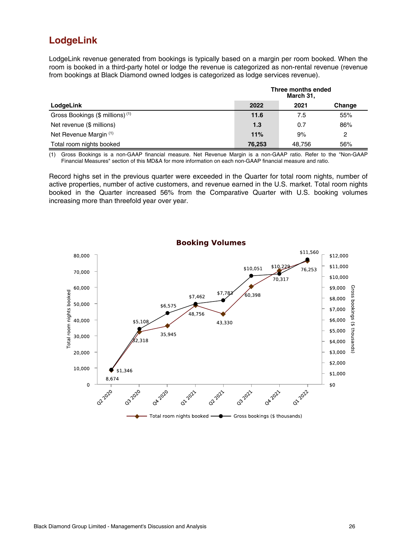## **LodgeLink**

LodgeLink revenue generated from bookings is typically based on a margin per room booked. When the room is booked in a third-party hotel or lodge the revenue is categorized as non-rental revenue (revenue from bookings at Black Diamond owned lodges is categorized as lodge services revenue).

|                                             | Three months ended<br>March 31, |        |        |
|---------------------------------------------|---------------------------------|--------|--------|
| LodgeLink                                   | 2022                            | 2021   | Change |
| Gross Bookings (\$ millions) <sup>(1)</sup> | 11.6                            | 7.5    | 55%    |
| Net revenue (\$ millions)                   | 1.3                             | 0.7    | 86%    |
| Net Revenue Margin (1)                      | 11%                             | 9%     | 2      |
| Total room nights booked                    | 76,253                          | 48.756 | 56%    |

(1) Gross Bookings is a non-GAAP financial measure. Net Revenue Margin is a non-GAAP ratio. Refer to the "Non-GAAP Financial Measures" section of this MD&A for more information on each non-GAAP financial measure and ratio.

Record highs set in the previous quarter were exceeded in the Quarter for total room nights, number of active properties, number of active customers, and revenue earned in the U.S. market. Total room nights booked in the Quarter increased 56% from the Comparative Quarter with U.S. booking volumes increasing more than threefold year over year.

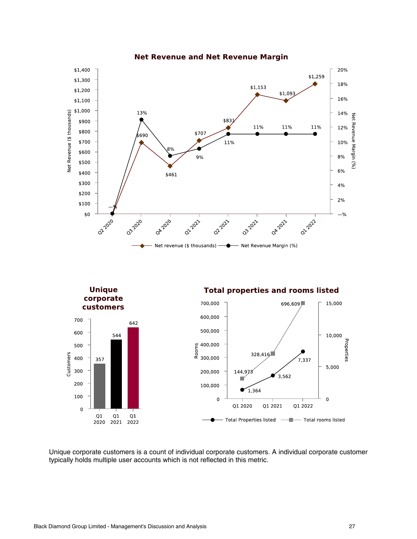

**Net Revenue and Net Revenue Margin** 

Unique corporate customers is a count of individual corporate customers. A individual corporate customer typically holds multiple user accounts which is not reflected in this metric.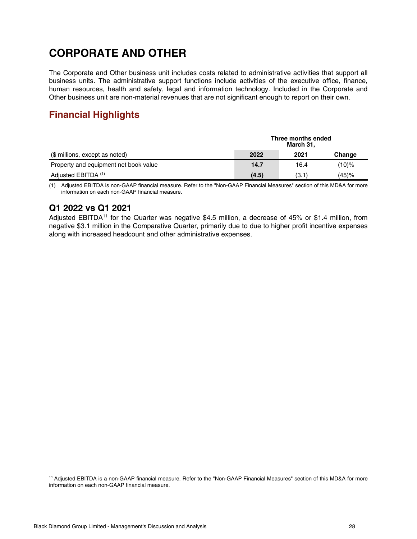## <span id="page-27-0"></span>**CORPORATE AND OTHER**

The Corporate and Other business unit includes costs related to administrative activities that support all business units. The administrative support functions include activities of the executive office, finance, human resources, health and safety, legal and information technology. Included in the Corporate and Other business unit are non-material revenues that are not significant enough to report on their own.

## **Financial Highlights**

|                                       | Three months ended<br>March 31, |       |        |
|---------------------------------------|---------------------------------|-------|--------|
| (\$ millions, except as noted)        | 2022                            | 2021  | Change |
| Property and equipment net book value | 14.7                            | 16.4  | (10)%  |
| Adjusted EBITDA <sup>(1)</sup>        | (4.5)                           | (3.1) | (45)%  |

(1) Adjusted EBITDA is non-GAAP financial measure. Refer to the "Non-GAAP Financial Measures" section of this MD&A for more information on each non-GAAP financial measure.

### **Q1 2022 vs Q1 2021**

Adjusted EBITDA<sup>11</sup> for the Quarter was negative \$4.5 million, a decrease of 45% or \$1.4 million, from negative \$3.1 million in the Comparative Quarter, primarily due to due to higher profit incentive expenses along with increased headcount and other administrative expenses.

<sup>11</sup> Adjusted EBITDA is a non-GAAP financial measure. Refer to the "Non-GAAP Financial Measures" section of this MD&A for more information on each non-GAAP financial measure.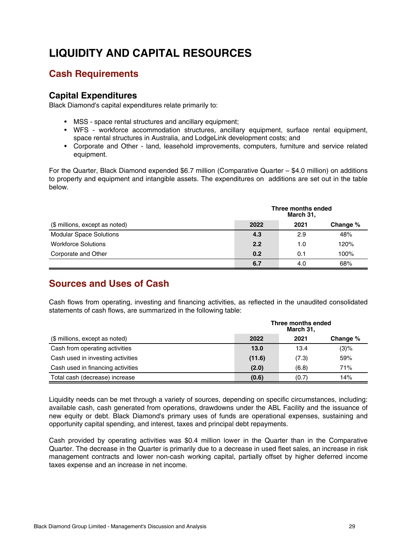## <span id="page-28-0"></span>**LIQUIDITY AND CAPITAL RESOURCES**

### **Cash Requirements**

#### **Capital Expenditures**

Black Diamond's capital expenditures relate primarily to:

- MSS space rental structures and ancillary equipment;
- WFS workforce accommodation structures, ancillary equipment, surface rental equipment, space rental structures in Australia, and LodgeLink development costs; and
- Corporate and Other land, leasehold improvements, computers, furniture and service related equipment.

For the Quarter, Black Diamond expended \$6.7 million (Comparative Quarter – \$4.0 million) on additions to property and equipment and intangible assets. The expenditures on additions are set out in the table below.

|                                | Three months ended<br>March 31, |      |          |
|--------------------------------|---------------------------------|------|----------|
| (\$ millions, except as noted) | 2022                            | 2021 | Change % |
| <b>Modular Space Solutions</b> | 4.3                             | 2.9  | 48%      |
| <b>Workforce Solutions</b>     | 2.2                             | 1.0  | 120%     |
| Corporate and Other            | 0.2                             | 0.1  | 100%     |
|                                | 6.7                             | 4.0  | 68%      |

## **Sources and Uses of Cash**

Cash flows from operating, investing and financing activities, as reflected in the unaudited consolidated statements of cash flows, are summarized in the following table:

|                                   | Three months ended<br>March 31, |       |          |  |
|-----------------------------------|---------------------------------|-------|----------|--|
| (\$ millions, except as noted)    | 2022                            | 2021  | Change % |  |
| Cash from operating activities    | 13.0                            | 13.4  | (3)%     |  |
| Cash used in investing activities | (11.6)                          | (7.3) | 59%      |  |
| Cash used in financing activities | (2.0)                           | (6.8) | 71%      |  |
| Total cash (decrease) increase    | (0.6)                           | (0.7) | 14%      |  |

Liquidity needs can be met through a variety of sources, depending on specific circumstances, including: available cash, cash generated from operations, drawdowns under the ABL Facility and the issuance of new equity or debt. Black Diamond's primary uses of funds are operational expenses, sustaining and opportunity capital spending, and interest, taxes and principal debt repayments.

Cash provided by operating activities was \$0.4 million lower in the Quarter than in the Comparative Quarter. The decrease in the Quarter is primarily due to a decrease in used fleet sales, an increase in risk management contracts and lower non-cash working capital, partially offset by higher deferred income taxes expense and an increase in net income.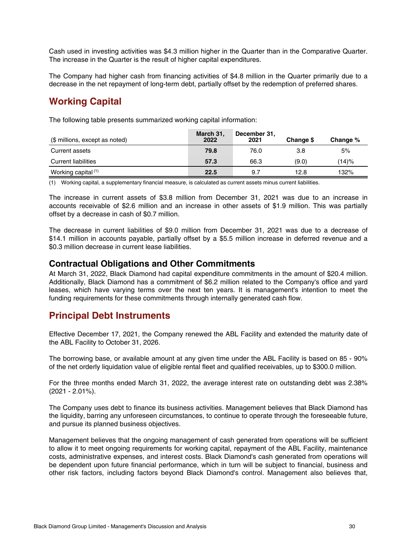Cash used in investing activities was \$4.3 million higher in the Quarter than in the Comparative Quarter. The increase in the Quarter is the result of higher capital expenditures.

The Company had higher cash from financing activities of \$4.8 million in the Quarter primarily due to a decrease in the net repayment of long-term debt, partially offset by the redemption of preferred shares.

### **Working Capital**

The following table presents summarized working capital information:

| (\$ millions, except as noted) | March 31,<br>2022 | December 31,<br>2021 | Change \$ | Change % |
|--------------------------------|-------------------|----------------------|-----------|----------|
| Current assets                 | 79.8              | 76.0                 | 3.8       | 5%       |
| <b>Current liabilities</b>     | 57.3              | 66.3                 | (9.0)     | (14)%    |
| Working capital <sup>(1)</sup> | 22.5              | 9.7                  | 12.8      | 132%     |

(1) Working capital, a supplementary financial measure, is calculated as current assets minus current liabilities.

The increase in current assets of \$3.8 million from December 31, 2021 was due to an increase in accounts receivable of \$2.6 million and an increase in other assets of \$1.9 million. This was partially offset by a decrease in cash of \$0.7 million.

The decrease in current liabilities of \$9.0 million from December 31, 2021 was due to a decrease of \$14.1 million in accounts payable, partially offset by a \$5.5 million increase in deferred revenue and a \$0.3 million decrease in current lease liabilities.

#### **Contractual Obligations and Other Commitments**

At March 31, 2022, Black Diamond had capital expenditure commitments in the amount of \$20.4 million. Additionally, Black Diamond has a commitment of \$6.2 million related to the Company's office and yard leases, which have varying terms over the next ten years. It is management's intention to meet the funding requirements for these commitments through internally generated cash flow.

#### **Principal Debt Instruments**

Effective December 17, 2021, the Company renewed the ABL Facility and extended the maturity date of the ABL Facility to October 31, 2026.

The borrowing base, or available amount at any given time under the ABL Facility is based on 85 - 90% of the net orderly liquidation value of eligible rental fleet and qualified receivables, up to \$300.0 million.

For the three months ended March 31, 2022, the average interest rate on outstanding debt was 2.38% (2021 - 2.01%).

The Company uses debt to finance its business activities. Management believes that Black Diamond has the liquidity, barring any unforeseen circumstances, to continue to operate through the foreseeable future, and pursue its planned business objectives.

Management believes that the ongoing management of cash generated from operations will be sufficient to allow it to meet ongoing requirements for working capital, repayment of the ABL Facility, maintenance costs, administrative expenses, and interest costs. Black Diamond's cash generated from operations will be dependent upon future financial performance, which in turn will be subject to financial, business and other risk factors, including factors beyond Black Diamond's control. Management also believes that,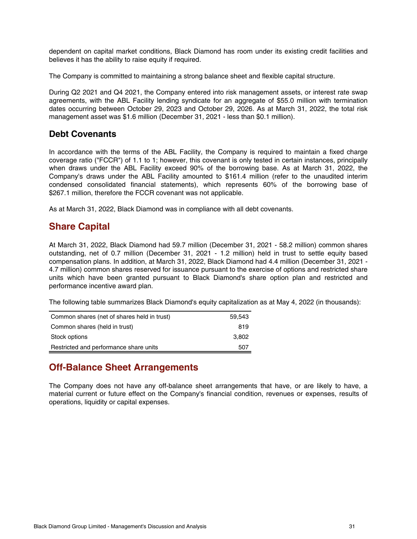dependent on capital market conditions, Black Diamond has room under its existing credit facilities and believes it has the ability to raise equity if required.

The Company is committed to maintaining a strong balance sheet and flexible capital structure.

During Q2 2021 and Q4 2021, the Company entered into risk management assets, or interest rate swap agreements, with the ABL Facility lending syndicate for an aggregate of \$55.0 million with termination dates occurring between October 29, 2023 and October 29, 2026. As at March 31, 2022, the total risk management asset was \$1.6 million (December 31, 2021 - less than \$0.1 million).

#### **Debt Covenants**

In accordance with the terms of the ABL Facility, the Company is required to maintain a fixed charge coverage ratio ("FCCR") of 1.1 to 1; however, this covenant is only tested in certain instances, principally when draws under the ABL Facility exceed 90% of the borrowing base. As at March 31, 2022, the Company's draws under the ABL Facility amounted to \$161.4 million (refer to the unaudited interim condensed consolidated financial statements), which represents 60% of the borrowing base of \$267.1 million, therefore the FCCR covenant was not applicable.

As at March 31, 2022, Black Diamond was in compliance with all debt covenants.

### **Share Capital**

At March 31, 2022, Black Diamond had 59.7 million (December 31, 2021 - 58.2 million) common shares outstanding, net of 0.7 million (December 31, 2021 - 1.2 million) held in trust to settle equity based compensation plans. In addition, at March 31, 2022, Black Diamond had 4.4 million (December 31, 2021 - 4.7 million) common shares reserved for issuance pursuant to the exercise of options and restricted share units which have been granted pursuant to Black Diamond's share option plan and restricted and performance incentive award plan.

The following table summarizes Black Diamond's equity capitalization as at May 4, 2022 (in thousands):

| Common shares (net of shares held in trust) | 59.543 |
|---------------------------------------------|--------|
| Common shares (held in trust)               | 819    |
| Stock options                               | 3.802  |
| Restricted and performance share units      | 507    |

## **Off-Balance Sheet Arrangements**

The Company does not have any off-balance sheet arrangements that have, or are likely to have, a material current or future effect on the Company's financial condition, revenues or expenses, results of operations, liquidity or capital expenses.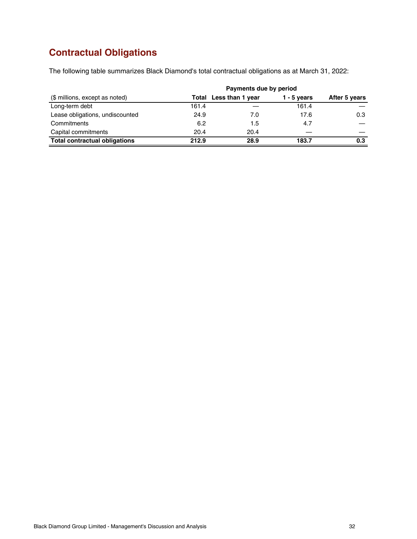## **Contractual Obligations**

The following table summarizes Black Diamond's total contractual obligations as at March 31, 2022:

| (\$ millions, except as noted)       | Total Less than 1 year | After 5 years |       |     |
|--------------------------------------|------------------------|---------------|-------|-----|
| Long-term debt                       | 161.4                  |               | 161.4 |     |
| Lease obligations, undiscounted      | 24.9                   | 7.0           | 17.6  | 0.3 |
| Commitments                          | 6.2                    | 1.5           | 4.7   |     |
| Capital commitments                  | 20.4                   | 20.4          |       |     |
| <b>Total contractual obligations</b> | 212.9                  | 28.9          | 183.7 | 0.3 |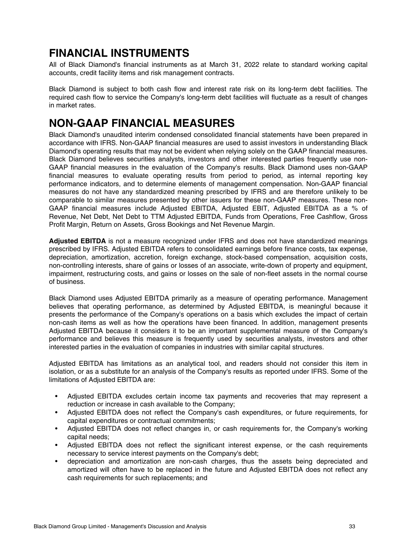## <span id="page-32-0"></span>**FINANCIAL INSTRUMENTS**

All of Black Diamond's financial instruments as at March 31, 2022 relate to standard working capital accounts, credit facility items and risk management contracts.

Black Diamond is subject to both cash flow and interest rate risk on its long-term debt facilities. The required cash flow to service the Company's long-term debt facilities will fluctuate as a result of changes in market rates.

## **NON-GAAP FINANCIAL MEASURES**

Black Diamond's unaudited interim condensed consolidated financial statements have been prepared in accordance with IFRS. Non-GAAP financial measures are used to assist investors in understanding Black Diamond's operating results that may not be evident when relying solely on the GAAP financial measures. Black Diamond believes securities analysts, investors and other interested parties frequently use non-GAAP financial measures in the evaluation of the Company's results. Black Diamond uses non-GAAP financial measures to evaluate operating results from period to period, as internal reporting key performance indicators, and to determine elements of management compensation. Non-GAAP financial measures do not have any standardized meaning prescribed by IFRS and are therefore unlikely to be comparable to similar measures presented by other issuers for these non-GAAP measures. These non-GAAP financial measures include Adjusted EBITDA, Adjusted EBIT, Adjusted EBITDA as a % of Revenue, Net Debt, Net Debt to TTM Adjusted EBITDA, Funds from Operations, Free Cashflow, Gross Profit Margin, Return on Assets, Gross Bookings and Net Revenue Margin.

**Adjusted EBITDA** is not a measure recognized under IFRS and does not have standardized meanings prescribed by IFRS. Adjusted EBITDA refers to consolidated earnings before finance costs, tax expense, depreciation, amortization, accretion, foreign exchange, stock-based compensation, acquisition costs, non-controlling interests, share of gains or losses of an associate, write-down of property and equipment, impairment, restructuring costs, and gains or losses on the sale of non-fleet assets in the normal course of business.

Black Diamond uses Adjusted EBITDA primarily as a measure of operating performance. Management believes that operating performance, as determined by Adjusted EBITDA, is meaningful because it presents the performance of the Company's operations on a basis which excludes the impact of certain non-cash items as well as how the operations have been financed. In addition, management presents Adjusted EBITDA because it considers it to be an important supplemental measure of the Company's performance and believes this measure is frequently used by securities analysts, investors and other interested parties in the evaluation of companies in industries with similar capital structures.

Adjusted EBITDA has limitations as an analytical tool, and readers should not consider this item in isolation, or as a substitute for an analysis of the Company's results as reported under IFRS. Some of the limitations of Adjusted EBITDA are:

- Adjusted EBITDA excludes certain income tax payments and recoveries that may represent a reduction or increase in cash available to the Company;
- Adjusted EBITDA does not reflect the Company's cash expenditures, or future requirements, for capital expenditures or contractual commitments;
- Adjusted EBITDA does not reflect changes in, or cash requirements for, the Company's working capital needs;
- Adjusted EBITDA does not reflect the significant interest expense, or the cash requirements necessary to service interest payments on the Company's debt;
- depreciation and amortization are non-cash charges, thus the assets being depreciated and amortized will often have to be replaced in the future and Adjusted EBITDA does not reflect any cash requirements for such replacements; and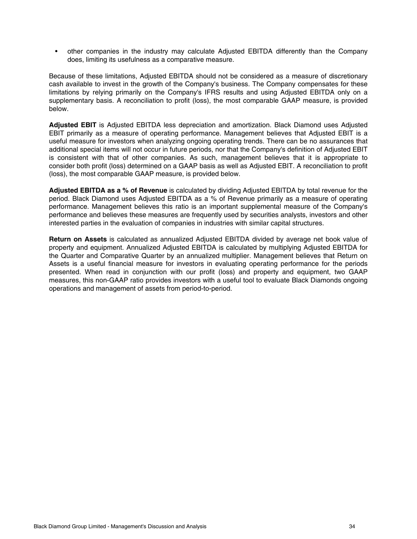• other companies in the industry may calculate Adjusted EBITDA differently than the Company does, limiting its usefulness as a comparative measure.

Because of these limitations, Adjusted EBITDA should not be considered as a measure of discretionary cash available to invest in the growth of the Company's business. The Company compensates for these limitations by relying primarily on the Company's IFRS results and using Adjusted EBITDA only on a supplementary basis. A reconciliation to profit (loss), the most comparable GAAP measure, is provided below.

**Adjusted EBIT** is Adjusted EBITDA less depreciation and amortization. Black Diamond uses Adjusted EBIT primarily as a measure of operating performance. Management believes that Adjusted EBIT is a useful measure for investors when analyzing ongoing operating trends. There can be no assurances that additional special items will not occur in future periods, nor that the Company's definition of Adjusted EBIT is consistent with that of other companies. As such, management believes that it is appropriate to consider both profit (loss) determined on a GAAP basis as well as Adjusted EBIT. A reconciliation to profit (loss), the most comparable GAAP measure, is provided below.

**Adjusted EBITDA as a % of Revenue** is calculated by dividing Adjusted EBITDA by total revenue for the period. Black Diamond uses Adjusted EBITDA as a % of Revenue primarily as a measure of operating performance. Management believes this ratio is an important supplemental measure of the Company's performance and believes these measures are frequently used by securities analysts, investors and other interested parties in the evaluation of companies in industries with similar capital structures.

**Return on Assets** is calculated as annualized Adjusted EBITDA divided by average net book value of property and equipment. Annualized Adjusted EBITDA is calculated by multiplying Adjusted EBITDA for the Quarter and Comparative Quarter by an annualized multiplier. Management believes that Return on Assets is a useful financial measure for investors in evaluating operating performance for the periods presented. When read in conjunction with our profit (loss) and property and equipment, two GAAP measures, this non-GAAP ratio provides investors with a useful tool to evaluate Black Diamonds ongoing operations and management of assets from period-to-period.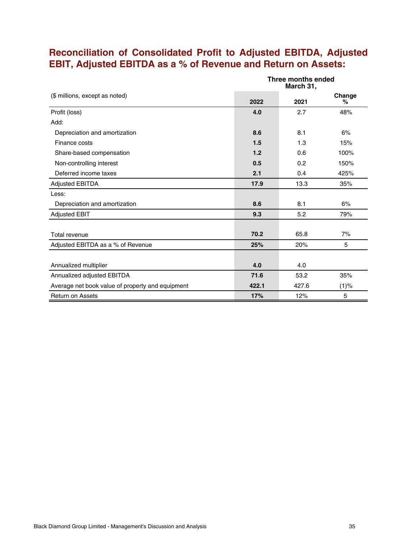## **Reconciliation of Consolidated Profit to Adjusted EBITDA, Adjusted EBIT, Adjusted EBITDA as a % of Revenue and Return on Assets:**

|                                                  | Three months ended<br>March 31, |       |             |
|--------------------------------------------------|---------------------------------|-------|-------------|
| (\$ millions, except as noted)                   | 2022                            | 2021  | Change<br>℅ |
| Profit (loss)                                    | 4.0                             | 2.7   | 48%         |
| Add:                                             |                                 |       |             |
| Depreciation and amortization                    | 8.6                             | 8.1   | 6%          |
| Finance costs                                    | 1.5                             | 1.3   | 15%         |
| Share-based compensation                         | 1.2                             | 0.6   | 100%        |
| Non-controlling interest                         | 0.5                             | 0.2   | 150%        |
| Deferred income taxes                            | 2.1                             | 0.4   | 425%        |
| <b>Adjusted EBITDA</b>                           | 17.9                            | 13.3  | 35%         |
| Less:                                            |                                 |       |             |
| Depreciation and amortization                    | 8.6                             | 8.1   | 6%          |
| <b>Adjusted EBIT</b>                             | 9.3                             | 5.2   | 79%         |
|                                                  |                                 |       |             |
| Total revenue                                    | 70.2                            | 65.8  | 7%          |
| Adjusted EBITDA as a % of Revenue                | 25%                             | 20%   | 5           |
|                                                  |                                 |       |             |
| Annualized multiplier                            | 4.0                             | 4.0   |             |
| Annualized adjusted EBITDA                       | 71.6                            | 53.2  | 35%         |
| Average net book value of property and equipment | 422.1                           | 427.6 | $(1)$ %     |
| <b>Return on Assets</b>                          | 17%                             | 12%   | 5           |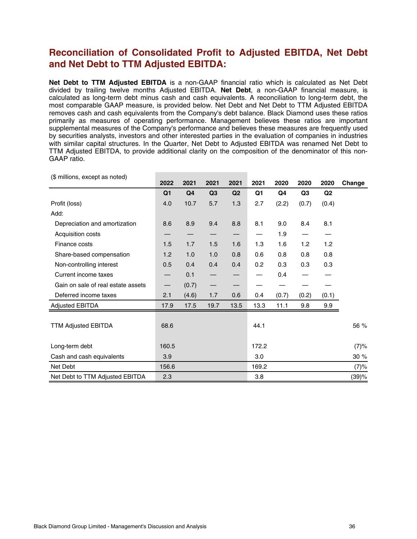### **Reconciliation of Consolidated Profit to Adjusted EBITDA, Net Debt and Net Debt to TTM Adjusted EBITDA:**

**Net Debt to TTM Adjusted EBITDA** is a non-GAAP financial ratio which is calculated as Net Debt divided by trailing twelve months Adjusted EBITDA. **Net Debt**, a non-GAAP financial measure, is calculated as long-term debt minus cash and cash equivalents. A reconciliation to long-term debt, the most comparable GAAP measure, is provided below. Net Debt and Net Debt to TTM Adjusted EBITDA removes cash and cash equivalents from the Company's debt balance. Black Diamond uses these ratios primarily as measures of operating performance. Management believes these ratios are important supplemental measures of the Company's performance and believes these measures are frequently used by securities analysts, investors and other interested parties in the evaluation of companies in industries with similar capital structures. In the Quarter, Net Debt to Adjusted EBITDA was renamed Net Debt to TTM Adjusted EBITDA, to provide additional clarity on the composition of the denominator of this non-GAAP ratio.

| (\$ millions, except as noted)     | 2022                     | 2021           | 2021                     | 2021                     | 2021  | 2020  | 2020           | 2020           | Change |
|------------------------------------|--------------------------|----------------|--------------------------|--------------------------|-------|-------|----------------|----------------|--------|
|                                    | Q <sub>1</sub>           | Q <sub>4</sub> | Q <sub>3</sub>           | Q <sub>2</sub>           | Q1    | Q4    | Q <sub>3</sub> | Q <sub>2</sub> |        |
| Profit (loss)                      | 4.0                      | 10.7           | 5.7                      | 1.3                      | 2.7   | (2.2) | (0.7)          | (0.4)          |        |
| Add:                               |                          |                |                          |                          |       |       |                |                |        |
| Depreciation and amortization      | 8.6                      | 8.9            | 9.4                      | 8.8                      | 8.1   | 9.0   | 8.4            | 8.1            |        |
| Acquisition costs                  |                          |                |                          |                          |       | 1.9   |                |                |        |
| Finance costs                      | 1.5                      | 1.7            | 1.5                      | 1.6                      | 1.3   | 1.6   | 1.2            | 1.2            |        |
| Share-based compensation           | 1.2                      | 1.0            | 1.0                      | 0.8                      | 0.6   | 0.8   | 0.8            | 0.8            |        |
| Non-controlling interest           | 0.5                      | 0.4            | 0.4                      | 0.4                      | 0.2   | 0.3   | 0.3            | 0.3            |        |
| Current income taxes               | $\overline{\phantom{0}}$ | 0.1            |                          |                          |       | 0.4   |                |                |        |
| Gain on sale of real estate assets | $\qquad \qquad -$        | (0.7)          | $\overline{\phantom{0}}$ | $\overline{\phantom{0}}$ |       |       |                |                |        |
| Deferred income taxes              | 2.1                      | (4.6)          | 1.7                      | 0.6                      | 0.4   | (0.7) | (0.2)          | (0.1)          |        |
| <b>Adjusted EBITDA</b>             | 17.9                     | 17.5           | 19.7                     | 13.5                     | 13.3  | 11.1  | 9.8            | 9.9            |        |
|                                    |                          |                |                          |                          |       |       |                |                |        |
| <b>TTM Adjusted EBITDA</b>         | 68.6                     |                |                          |                          | 44.1  |       |                |                | 56 %   |
|                                    |                          |                |                          |                          |       |       |                |                |        |
| Long-term debt                     | 160.5                    |                |                          |                          | 172.2 |       |                |                | (7)%   |
| Cash and cash equivalents          | 3.9                      |                |                          |                          | 3.0   |       |                |                | 30%    |
| Net Debt                           | 156.6                    |                |                          |                          | 169.2 |       |                |                | (7)%   |
| Net Debt to TTM Adjusted EBITDA    | 2.3                      |                |                          |                          | 3.8   |       |                |                | (39)%  |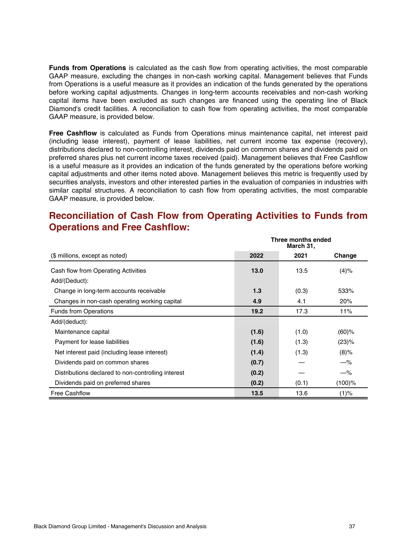**Funds from Operations** is calculated as the cash flow from operating activities, the most comparable GAAP measure, excluding the changes in non-cash working capital. Management believes that Funds from Operations is a useful measure as it provides an indication of the funds generated by the operations before working capital adjustments. Changes in long-term accounts receivables and non-cash working capital items have been excluded as such changes are financed using the operating line of Black Diamond's credit facilities. A reconciliation to cash flow from operating activities, the most comparable GAAP measure, is provided below.

**Free Cashflow** is calculated as Funds from Operations minus maintenance capital, net interest paid (including lease interest), payment of lease liabilities, net current income tax expense (recovery), distributions declared to non-controlling interest, dividends paid on common shares and dividends paid on preferred shares plus net current income taxes received (paid). Management believes that Free Cashflow is a useful measure as it provides an indication of the funds generated by the operations before working capital adjustments and other items noted above. Management believes this metric is frequently used by securities analysts, investors and other interested parties in the evaluation of companies in industries with similar capital structures. A reconciliation to cash flow from operating activities, the most comparable GAAP measure, is provided below.

### **Reconciliation of Cash Flow from Operating Activities to Funds from Operations and Free Cashflow:**

|                                                    | Three months ended<br>March 31, |       |           |
|----------------------------------------------------|---------------------------------|-------|-----------|
| (\$ millions, except as noted)                     | 2022                            | 2021  | Change    |
| Cash flow from Operating Activities                | 13.0                            | 13.5  | (4)%      |
| Add/(Deduct):                                      |                                 |       |           |
| Change in long-term accounts receivable            | 1.3                             | (0.3) | 533%      |
| Changes in non-cash operating working capital      | 4.9                             | 4.1   | 20%       |
| <b>Funds from Operations</b>                       | 19.2                            | 17.3  | 11%       |
| Add/(deduct):                                      |                                 |       |           |
| Maintenance capital                                | (1.6)                           | (1.0) | $(60)$ %  |
| Payment for lease liabilities                      | (1.6)                           | (1.3) | (23)%     |
| Net interest paid (including lease interest)       | (1.4)                           | (1.3) | $(8)\%$   |
| Dividends paid on common shares                    | (0.7)                           |       | $-\%$     |
| Distributions declared to non-controlling interest | (0.2)                           |       | $-\%$     |
| Dividends paid on preferred shares                 | (0.2)                           | (0.1) | $(100)$ % |
| <b>Free Cashflow</b>                               | 13.5                            | 13.6  | (1)%      |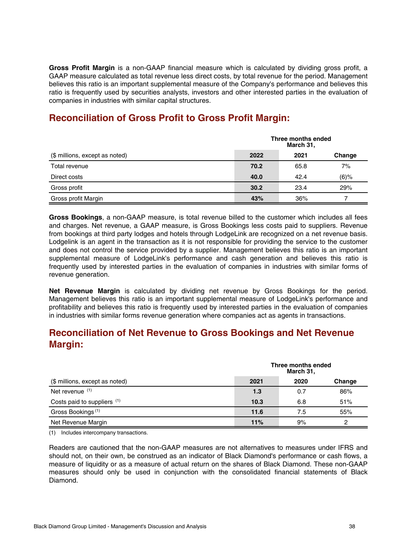**Gross Profit Margin** is a non-GAAP financial measure which is calculated by dividing gross profit, a GAAP measure calculated as total revenue less direct costs, by total revenue for the period. Management believes this ratio is an important supplemental measure of the Company's performance and believes this ratio is frequently used by securities analysts, investors and other interested parties in the evaluation of companies in industries with similar capital structures.

## **Reconciliation of Gross Profit to Gross Profit Margin:**

|                                | Three months ended<br>March 31, |      |         |  |
|--------------------------------|---------------------------------|------|---------|--|
| (\$ millions, except as noted) | 2022                            | 2021 | Change  |  |
| Total revenue                  | 70.2                            | 65.8 | 7%      |  |
| Direct costs                   | 40.0                            | 42.4 | $(6)\%$ |  |
| Gross profit                   | 30.2                            | 23.4 | 29%     |  |
| Gross profit Margin            | 43%                             | 36%  |         |  |

**Gross Bookings**, a non-GAAP measure, is total revenue billed to the customer which includes all fees and charges. Net revenue, a GAAP measure, is Gross Bookings less costs paid to suppliers. Revenue from bookings at third party lodges and hotels through LodgeLink are recognized on a net revenue basis. Lodgelink is an agent in the transaction as it is not responsible for providing the service to the customer and does not control the service provided by a supplier. Management believes this ratio is an important supplemental measure of LodgeLink's performance and cash generation and believes this ratio is frequently used by interested parties in the evaluation of companies in industries with similar forms of revenue generation.

**Net Revenue Margin** is calculated by dividing net revenue by Gross Bookings for the period. Management believes this ratio is an important supplemental measure of LodgeLink's performance and profitability and believes this ratio is frequently used by interested parties in the evaluation of companies in industries with similar forms revenue generation where companies act as agents in transactions.

## **Reconciliation of Net Revenue to Gross Bookings and Net Revenue Margin:**

|                                |      | Three months ended<br>March 31, |        |  |  |
|--------------------------------|------|---------------------------------|--------|--|--|
| (\$ millions, except as noted) | 2021 | 2020                            | Change |  |  |
| Net revenue (1)                | 1.3  | 0.7                             | 86%    |  |  |
| Costs paid to suppliers (1)    | 10.3 | 6.8                             | 51%    |  |  |
| Gross Bookings <sup>(1)</sup>  | 11.6 | 7.5                             | 55%    |  |  |
| Net Revenue Margin             | 11%  | 9%                              |        |  |  |

(1) Includes intercompany transactions.

Readers are cautioned that the non-GAAP measures are not alternatives to measures under IFRS and should not, on their own, be construed as an indicator of Black Diamond's performance or cash flows, a measure of liquidity or as a measure of actual return on the shares of Black Diamond. These non-GAAP measures should only be used in conjunction with the consolidated financial statements of Black Diamond.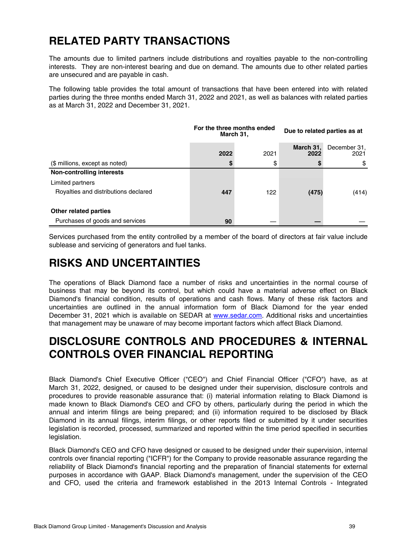## <span id="page-38-0"></span>**RELATED PARTY TRANSACTIONS**

The amounts due to limited partners include distributions and royalties payable to the non-controlling interests. They are non-interest bearing and due on demand. The amounts due to other related parties are unsecured and are payable in cash.

The following table provides the total amount of transactions that have been entered into with related parties during the three months ended March 31, 2022 and 2021, as well as balances with related parties as at March 31, 2022 and December 31, 2021.

|                                      | For the three months ended<br>March 31, |      | Due to related parties as at |                      |  |
|--------------------------------------|-----------------------------------------|------|------------------------------|----------------------|--|
|                                      | 2022                                    | 2021 | March 31,<br>2022            | December 31,<br>2021 |  |
| (\$ millions, except as noted)       | S                                       | \$   |                              | S                    |  |
| <b>Non-controlling interests</b>     |                                         |      |                              |                      |  |
| Limited partners                     |                                         |      |                              |                      |  |
| Royalties and distributions declared | 447                                     | 122  | (475)                        | (414)                |  |
| Other related parties                |                                         |      |                              |                      |  |
| Purchases of goods and services      | 90                                      |      |                              |                      |  |

Services purchased from the entity controlled by a member of the board of directors at fair value include sublease and servicing of generators and fuel tanks.

## **RISKS AND UNCERTAINTIES**

The operations of Black Diamond face a number of risks and uncertainties in the normal course of business that may be beyond its control, but which could have a material adverse effect on Black Diamond's financial condition, results of operations and cash flows. Many of these risk factors and uncertainties are outlined in the annual information form of Black Diamond for the year ended December 31, 2021 which is available on SEDAR at [www.sedar.com.](http://www.sedar.com) Additional risks and uncertainties that management may be unaware of may become important factors which affect Black Diamond.

## **DISCLOSURE CONTROLS AND PROCEDURES & INTERNAL CONTROLS OVER FINANCIAL REPORTING**

Black Diamond's Chief Executive Officer ("CEO") and Chief Financial Officer ("CFO") have, as at March 31, 2022, designed, or caused to be designed under their supervision, disclosure controls and procedures to provide reasonable assurance that: (i) material information relating to Black Diamond is made known to Black Diamond's CEO and CFO by others, particularly during the period in which the annual and interim filings are being prepared; and (ii) information required to be disclosed by Black Diamond in its annual filings, interim filings, or other reports filed or submitted by it under securities legislation is recorded, processed, summarized and reported within the time period specified in securities legislation.

Black Diamond's CEO and CFO have designed or caused to be designed under their supervision, internal controls over financial reporting ("ICFR") for the Company to provide reasonable assurance regarding the reliability of Black Diamond's financial reporting and the preparation of financial statements for external purposes in accordance with GAAP. Black Diamond's management, under the supervision of the CEO and CFO, used the criteria and framework established in the 2013 Internal Controls - Integrated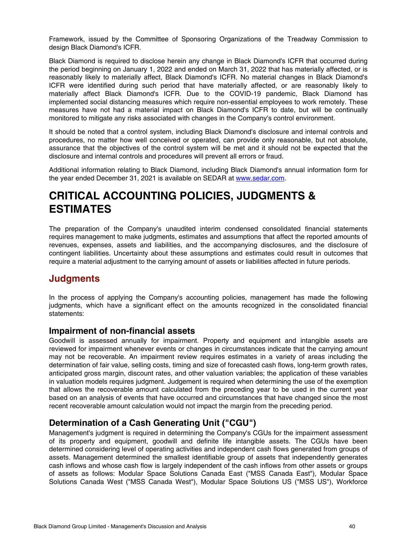<span id="page-39-0"></span>Framework, issued by the Committee of Sponsoring Organizations of the Treadway Commission to design Black Diamond's ICFR.

Black Diamond is required to disclose herein any change in Black Diamond's ICFR that occurred during the period beginning on January 1, 2022 and ended on March 31, 2022 that has materially affected, or is reasonably likely to materially affect, Black Diamond's ICFR. No material changes in Black Diamond's ICFR were identified during such period that have materially affected, or are reasonably likely to materially affect Black Diamond's ICFR. Due to the COVID-19 pandemic, Black Diamond has implemented social distancing measures which require non-essential employees to work remotely. These measures have not had a material impact on Black Diamond's ICFR to date, but will be continually monitored to mitigate any risks associated with changes in the Company's control environment.

It should be noted that a control system, including Black Diamond's disclosure and internal controls and procedures, no matter how well conceived or operated, can provide only reasonable, but not absolute, assurance that the objectives of the control system will be met and it should not be expected that the disclosure and internal controls and procedures will prevent all errors or fraud.

Additional information relating to Black Diamond, including Black Diamond's annual information form for the year ended December 31, 2021 is available on SEDAR at [www.sedar.com.](http://www.sedar.com)

## **CRITICAL ACCOUNTING POLICIES, JUDGMENTS & ESTIMATES**

The preparation of the Company's unaudited interim condensed consolidated financial statements requires management to make judgments, estimates and assumptions that affect the reported amounts of revenues, expenses, assets and liabilities, and the accompanying disclosures, and the disclosure of contingent liabilities. Uncertainty about these assumptions and estimates could result in outcomes that require a material adjustment to the carrying amount of assets or liabilities affected in future periods.

#### **Judgments**

In the process of applying the Company's accounting policies, management has made the following judgments, which have a significant effect on the amounts recognized in the consolidated financial statements:

#### **Impairment of non-financial assets**

Goodwill is assessed annually for impairment. Property and equipment and intangible assets are reviewed for impairment whenever events or changes in circumstances indicate that the carrying amount may not be recoverable. An impairment review requires estimates in a variety of areas including the determination of fair value, selling costs, timing and size of forecasted cash flows, long-term growth rates, anticipated gross margin, discount rates, and other valuation variables; the application of these variables in valuation models requires judgment. Judgement is required when determining the use of the exemption that allows the recoverable amount calculated from the preceding year to be used in the current year based on an analysis of events that have occurred and circumstances that have changed since the most recent recoverable amount calculation would not impact the margin from the preceding period.

#### **Determination of a Cash Generating Unit ("CGU")**

Management's judgment is required in determining the Company's CGUs for the impairment assessment of its property and equipment, goodwill and definite life intangible assets. The CGUs have been determined considering level of operating activities and independent cash flows generated from groups of assets. Management determined the smallest identifiable group of assets that independently generates cash inflows and whose cash flow is largely independent of the cash inflows from other assets or groups of assets as follows: Modular Space Solutions Canada East ("MSS Canada East"), Modular Space Solutions Canada West ("MSS Canada West"), Modular Space Solutions US ("MSS US"), Workforce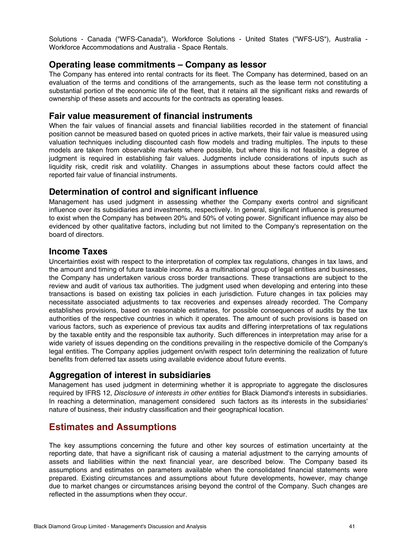Solutions - Canada ("WFS-Canada"), Workforce Solutions - United States ("WFS-US"), Australia - Workforce Accommodations and Australia - Space Rentals.

#### **Operating lease commitments – Company as lessor**

The Company has entered into rental contracts for its fleet. The Company has determined, based on an evaluation of the terms and conditions of the arrangements, such as the lease term not constituting a substantial portion of the economic life of the fleet, that it retains all the significant risks and rewards of ownership of these assets and accounts for the contracts as operating leases.

#### **Fair value measurement of financial instruments**

When the fair values of financial assets and financial liabilities recorded in the statement of financial position cannot be measured based on quoted prices in active markets, their fair value is measured using valuation techniques including discounted cash flow models and trading multiples. The inputs to these models are taken from observable markets where possible, but where this is not feasible, a degree of judgment is required in establishing fair values. Judgments include considerations of inputs such as liquidity risk, credit risk and volatility. Changes in assumptions about these factors could affect the reported fair value of financial instruments.

#### **Determination of control and significant influence**

Management has used judgment in assessing whether the Company exerts control and significant influence over its subsidiaries and investments, respectively. In general, significant influence is presumed to exist when the Company has between 20% and 50% of voting power. Significant influence may also be evidenced by other qualitative factors, including but not limited to the Company's representation on the board of directors.

#### **Income Taxes**

Uncertainties exist with respect to the interpretation of complex tax regulations, changes in tax laws, and the amount and timing of future taxable income. As a multinational group of legal entities and businesses, the Company has undertaken various cross border transactions. These transactions are subject to the review and audit of various tax authorities. The judgment used when developing and entering into these transactions is based on existing tax policies in each jurisdiction. Future changes in tax policies may necessitate associated adjustments to tax recoveries and expenses already recorded. The Company establishes provisions, based on reasonable estimates, for possible consequences of audits by the tax authorities of the respective countries in which it operates. The amount of such provisions is based on various factors, such as experience of previous tax audits and differing interpretations of tax regulations by the taxable entity and the responsible tax authority. Such differences in interpretation may arise for a wide variety of issues depending on the conditions prevailing in the respective domicile of the Company's legal entities. The Company applies judgement on/with respect to/in determining the realization of future benefits from deferred tax assets using available evidence about future events.

#### **Aggregation of interest in subsidiaries**

Management has used judgment in determining whether it is appropriate to aggregate the disclosures required by IFRS 12, Disclosure of interests in other entities for Black Diamond's interests in subsidiaries. In reaching a determination, management considered such factors as its interests in the subsidiaries' nature of business, their industry classification and their geographical location.

## **Estimates and Assumptions**

The key assumptions concerning the future and other key sources of estimation uncertainty at the reporting date, that have a significant risk of causing a material adjustment to the carrying amounts of assets and liabilities within the next financial year, are described below. The Company based its assumptions and estimates on parameters available when the consolidated financial statements were prepared. Existing circumstances and assumptions about future developments, however, may change due to market changes or circumstances arising beyond the control of the Company. Such changes are reflected in the assumptions when they occur.